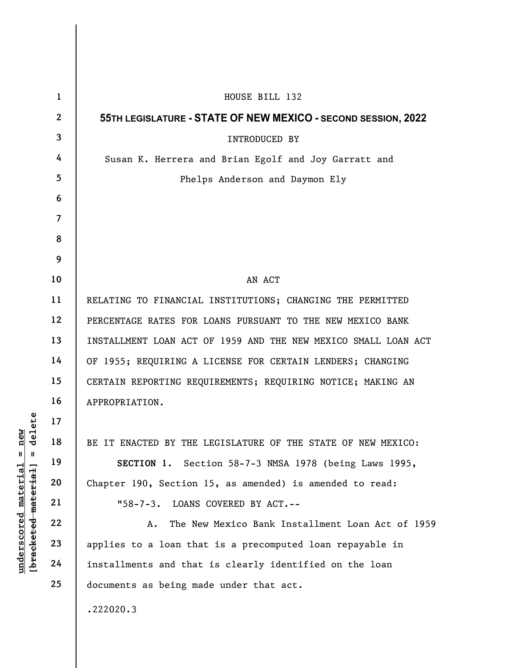|                                                           | $\mathbf{1}$   | HOUSE BILL 132                                                 |
|-----------------------------------------------------------|----------------|----------------------------------------------------------------|
|                                                           | $\mathbf{2}$   | 55TH LEGISLATURE - STATE OF NEW MEXICO - SECOND SESSION, 2022  |
|                                                           | $\mathbf{3}$   | <b>INTRODUCED BY</b>                                           |
|                                                           | 4              | Susan K. Herrera and Brian Egolf and Joy Garratt and           |
|                                                           | 5              | Phelps Anderson and Daymon Ely                                 |
|                                                           | 6              |                                                                |
|                                                           | $\overline{7}$ |                                                                |
|                                                           | 8              |                                                                |
|                                                           | 9              |                                                                |
|                                                           | 10             | AN ACT                                                         |
|                                                           | 11             | RELATING TO FINANCIAL INSTITUTIONS; CHANGING THE PERMITTED     |
|                                                           | 12             | PERCENTAGE RATES FOR LOANS PURSUANT TO THE NEW MEXICO BANK     |
|                                                           | 13             | INSTALLMENT LOAN ACT OF 1959 AND THE NEW MEXICO SMALL LOAN ACT |
|                                                           | 14             | OF 1955; REQUIRING A LICENSE FOR CERTAIN LENDERS; CHANGING     |
|                                                           | 15             | CERTAIN REPORTING REQUIREMENTS; REQUIRING NOTICE; MAKING AN    |
|                                                           | 16             | APPROPRIATION.                                                 |
| delete                                                    | 17             |                                                                |
| new                                                       | 18             | BE IT ENACTED BY THE LEGISLATURE OF THE STATE OF NEW MEXICO:   |
| $\mathbb{I}$<br>$\mathbf{I}$                              | 19             | SECTION 1. Section 58-7-3 NMSA 1978 (being Laws 1995,          |
|                                                           | 20             | Chapter 190, Section 15, as amended) is amended to read:       |
|                                                           | 21             | LOANS COVERED BY ACT.--<br>$"58 - 7 - 3.$                      |
|                                                           | 22             | The New Mexico Bank Installment Loan Act of 1959<br>Α.         |
| underscored material<br>[ <del>bracketed material</del> ] | 23             | applies to a loan that is a precomputed loan repayable in      |
|                                                           | 24             | installments and that is clearly identified on the loan        |
|                                                           | 25             | documents as being made under that act.                        |
|                                                           |                | .222020.3                                                      |
|                                                           |                |                                                                |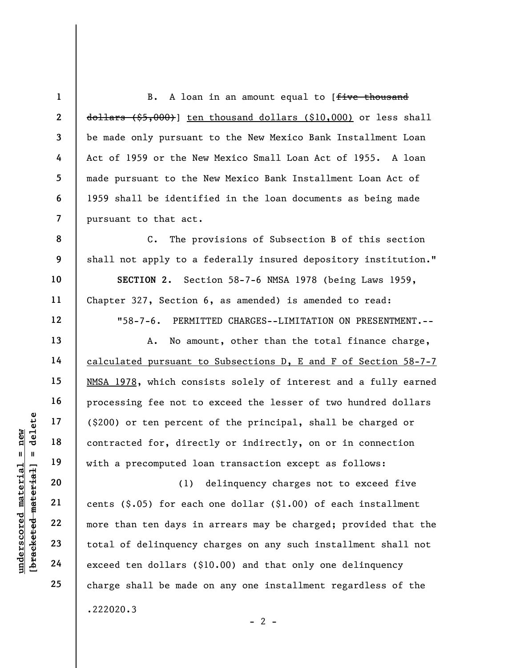2 3 7 B. A loan in an amount equal to [five thousand  $d$ ollars  $($ \$5,000 $)$ ] ten thousand dollars (\$10,000) or less shall be made only pursuant to the New Mexico Bank Installment Loan Act of 1959 or the New Mexico Small Loan Act of 1955. A loan made pursuant to the New Mexico Bank Installment Loan Act of 1959 shall be identified in the loan documents as being made pursuant to that act.

C. The provisions of Subsection B of this section shall not apply to a federally insured depository institution." SECTION 2. Section 58-7-6 NMSA 1978 (being Laws 1959, Chapter 327, Section 6, as amended) is amended to read: "58-7-6. PERMITTED CHARGES--LIMITATION ON PRESENTMENT.--

A. No amount, other than the total finance charge, calculated pursuant to Subsections D, E and F of Section 58-7-7 NMSA 1978, which consists solely of interest and a fully earned processing fee not to exceed the lesser of two hundred dollars (\$200) or ten percent of the principal, shall be charged or contracted for, directly or indirectly, on or in connection with a precomputed loan transaction except as follows:

underscore material material entity of the set of the contracted for, directly and the material contracted for, directly and the material contracted for, directly and the with a precomputed local material contracted for, d (1) delinquency charges not to exceed five cents  $(\$.05)$  for each one dollar  $(\$1.00)$  of each installment more than ten days in arrears may be charged; provided that the total of delinquency charges on any such installment shall not exceed ten dollars (\$10.00) and that only one delinquency charge shall be made on any one installment regardless of the .222020.3

1

4

5

6

8

9

10

11

12

13

14

15

16

17

18

19

20

21

22

23

24

25

 $- 2 -$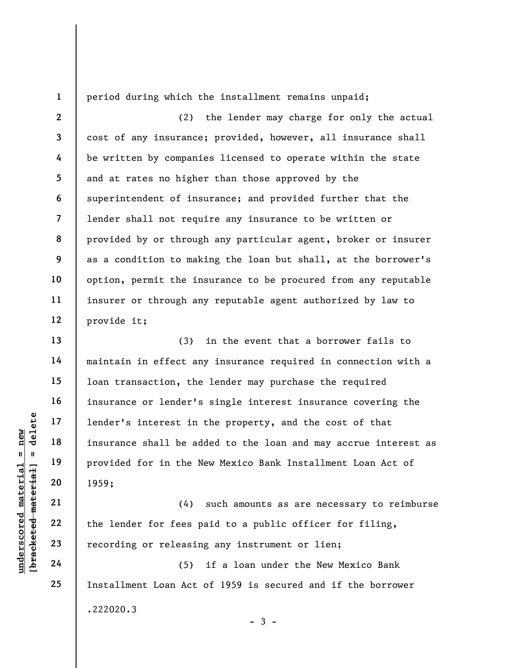1 2

3

4

5

6

7

9

10

11

12

13

14

15

16

17

18

19

20

21

22

23

24

25

period during which the installment remains unpaid;

8 (2) the lender may charge for only the actual cost of any insurance; provided, however, all insurance shall be written by companies licensed to operate within the state and at rates no higher than those approved by the superintendent of insurance; and provided further that the lender shall not require any insurance to be written or provided by or through any particular agent, broker or insurer as a condition to making the loan but shall, at the borrower's option, permit the insurance to be procured from any reputable insurer or through any reputable agent authorized by law to provide it;

under's interest in<br>
and the discussions of the Material state of the Material provided for in the N<br>
provided for in the N<br>
provided for in the N<br>
provided for in the N<br>
1959;<br>
21<br>
22<br>
the lender for fees p<br>
recording or (3) in the event that a borrower fails to maintain in effect any insurance required in connection with a loan transaction, the lender may purchase the required insurance or lender's single interest insurance covering the lender's interest in the property, and the cost of that insurance shall be added to the loan and may accrue interest as provided for in the New Mexico Bank Installment Loan Act of 1959;

(4) such amounts as are necessary to reimburse the lender for fees paid to a public officer for filing, recording or releasing any instrument or lien;

(5) if a loan under the New Mexico Bank Installment Loan Act of 1959 is secured and if the borrower .222020.3  $-3 -$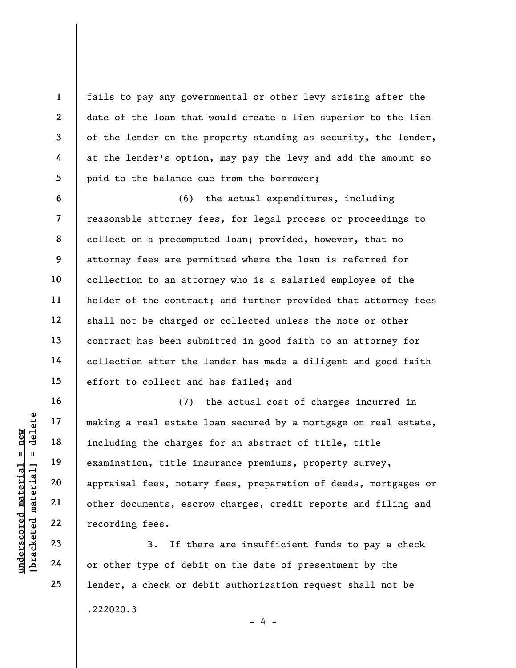fails to pay any governmental or other levy arising after the date of the loan that would create a lien superior to the lien of the lender on the property standing as security, the lender, at the lender's option, may pay the levy and add the amount so paid to the balance due from the borrower;

6 7 8 9 10 11 12 13 14 15 (6) the actual expenditures, including reasonable attorney fees, for legal process or proceedings to collect on a precomputed loan; provided, however, that no attorney fees are permitted where the loan is referred for collection to an attorney who is a salaried employee of the holder of the contract; and further provided that attorney fees shall not be charged or collected unless the note or other contract has been submitted in good faith to an attorney for collection after the lender has made a diligent and good faith effort to collect and has failed; and

underscored material = new [bracketed material] = delete (7) the actual cost of charges incurred in making a real estate loan secured by a mortgage on real estate, including the charges for an abstract of title, title examination, title insurance premiums, property survey, appraisal fees, notary fees, preparation of deeds, mortgages or other documents, escrow charges, credit reports and filing and recording fees.

B. If there are insufficient funds to pay a check or other type of debit on the date of presentment by the lender, a check or debit authorization request shall not be .222020.3  $- 4 -$ 

16

17

18

19

20

21

22

23

24

25

1

2

3

4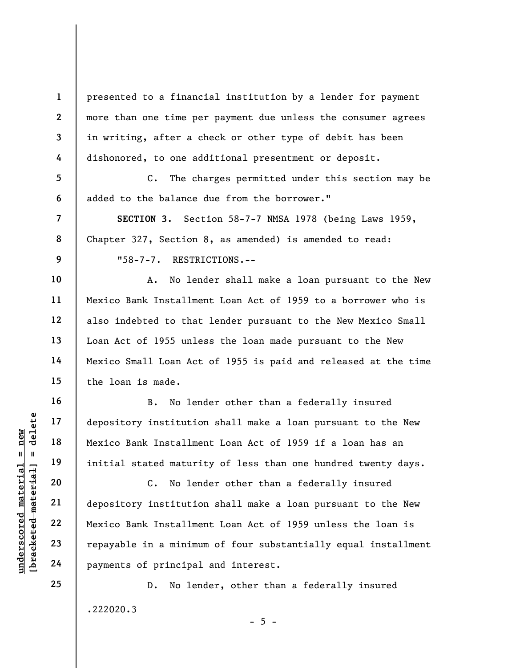presented to a financial institution by a lender for payment more than one time per payment due unless the consumer agrees in writing, after a check or other type of debit has been dishonored, to one additional presentment or deposit.

C. The charges permitted under this section may be added to the balance due from the borrower."

SECTION 3. Section 58-7-7 NMSA 1978 (being Laws 1959, Chapter 327, Section 8, as amended) is amended to read:

"58-7-7. RESTRICTIONS.--

A. No lender shall make a loan pursuant to the New Mexico Bank Installment Loan Act of 1959 to a borrower who is also indebted to that lender pursuant to the New Mexico Small Loan Act of 1955 unless the loan made pursuant to the New Mexico Small Loan Act of 1955 is paid and released at the time the loan is made.

B. No lender other than a federally insured depository institution shall make a loan pursuant to the New Mexico Bank Installment Loan Act of 1959 if a loan has an initial stated maturity of less than one hundred twenty days.

understand material depository institutions<br>
and the material material material material depository institutions<br>
and the material depository institutions<br>
21 depository institutions<br>
22 depository institutions<br>
23 repayab C. No lender other than a federally insured depository institution shall make a loan pursuant to the New Mexico Bank Installment Loan Act of 1959 unless the loan is repayable in a minimum of four substantially equal installment payments of principal and interest.

> D. No lender, other than a federally insured .222020.3

> > $- 5 -$

25

1

2

3

4

5

6

7

8

9

10

11

12

13

14

15

16

17

18

19

20

21

22

23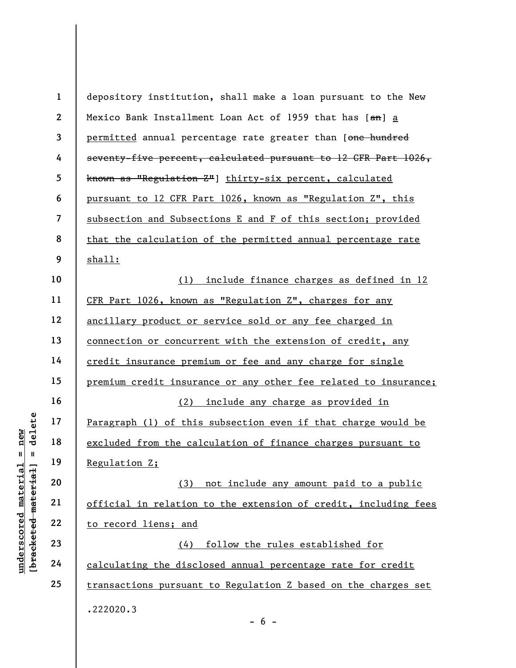under 17<br>
= 18<br>
= 18<br>
= 19<br>
= 19<br>
= 19<br>
= 19<br>
= 19<br>
= 19<br>
= 19<br>
= 19<br>
= 19<br>
= 19<br>
= 19<br>
= 19<br>
= 19<br>
= 19<br>
= 19<br>
= 19<br>
= 19<br>
= 19<br>
= 19<br>
= 19<br>
= 19<br>
= 19<br>
= 19<br>
= 19<br>
= 19<br>
= 19<br>
= 19<br>
= 19<br>
= 19<br>
= 19<br>
= 19<br>
= 19<br>
= 19<br>
= 1 2 3 4 5 6 7 8 9 10 11 12 13 14 15 16 17 18 19 20 21 22 23 24 25 depository institution, shall make a loan pursuant to the New Mexico Bank Installment Loan Act of 1959 that has [an] a permitted annual percentage rate greater than [one hundred seventy-five percent, calculated pursuant to 12 CFR Part 1026, known as "Regulation Z"] thirty-six percent, calculated pursuant to 12 CFR Part 1026, known as "Regulation Z", this subsection and Subsections E and F of this section; provided that the calculation of the permitted annual percentage rate shall: (1) include finance charges as defined in 12 CFR Part 1026, known as "Regulation Z", charges for any ancillary product or service sold or any fee charged in connection or concurrent with the extension of credit, any credit insurance premium or fee and any charge for single premium credit insurance or any other fee related to insurance; (2) include any charge as provided in Paragraph (1) of this subsection even if that charge would be excluded from the calculation of finance charges pursuant to Regulation Z; (3) not include any amount paid to a public official in relation to the extension of credit, including fees to record liens; and (4) follow the rules established for calculating the disclosed annual percentage rate for credit transactions pursuant to Regulation Z based on the charges set .222020.3

 $- 6 -$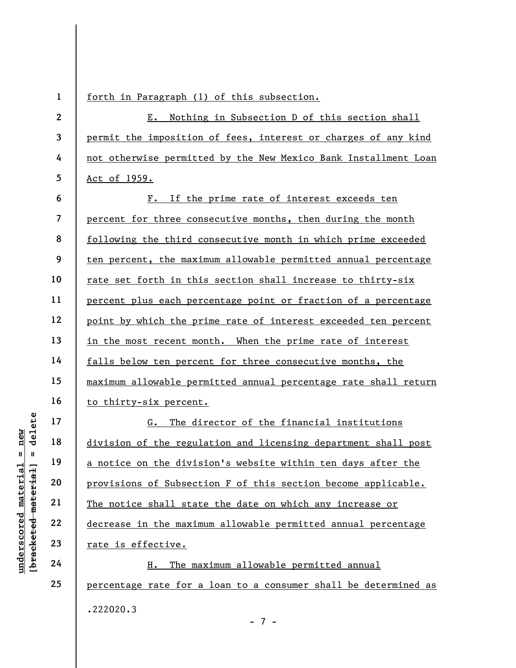UN DEN 17<br>
UN DEN 18<br>
UN DEN 19<br>
UN DEN 19<br>
UN DEN 19<br>
UN DEN 19<br>
UN DEN 19<br>
20<br>
UN DEN 19<br>
21<br>
The notice shall stat<br>
The notice shall stat<br>
The notice shall stat<br>
The notice shall stat<br>
The notice shall stat<br>
The notice 1 2 3 4 5 6 7 8 9 10 11 12 13 14 15 16 17 18 19 20 21 22 forth in Paragraph (1) of this subsection. E. Nothing in Subsection D of this section shall permit the imposition of fees, interest or charges of any kind not otherwise permitted by the New Mexico Bank Installment Loan Act of 1959. F. If the prime rate of interest exceeds ten percent for three consecutive months, then during the month following the third consecutive month in which prime exceeded ten percent, the maximum allowable permitted annual percentage rate set forth in this section shall increase to thirty-six percent plus each percentage point or fraction of a percentage point by which the prime rate of interest exceeded ten percent in the most recent month. When the prime rate of interest falls below ten percent for three consecutive months, the maximum allowable permitted annual percentage rate shall return to thirty-six percent. G. The director of the financial institutions division of the regulation and licensing department shall post a notice on the division's website within ten days after the provisions of Subsection F of this section become applicable. The notice shall state the date on which any increase or decrease in the maximum allowable permitted annual percentage

H. The maximum allowable permitted annual percentage rate for a loan to a consumer shall be determined as .222020.3 - 7 -

24

25

23

rate is effective.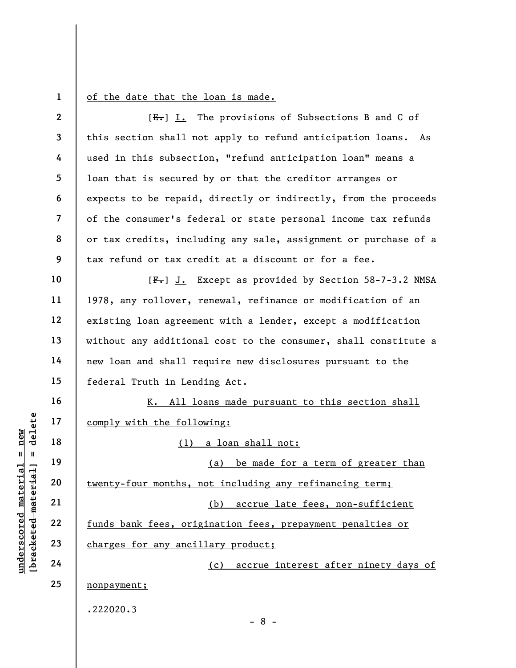1

of the date that the loan is made.

|                         | $\mathbf{2}$   | $[E-]$ I. The provisions of Subsections B and C of              |
|-------------------------|----------------|-----------------------------------------------------------------|
|                         | 3              | this section shall not apply to refund anticipation loans. As   |
|                         | 4              | used in this subsection, "refund anticipation loan" means a     |
|                         | 5              | loan that is secured by or that the creditor arranges or        |
|                         | 6              | expects to be repaid, directly or indirectly, from the proceeds |
|                         | $\overline{7}$ | of the consumer's federal or state personal income tax refunds  |
|                         | 8              | or tax credits, including any sale, assignment or purchase of a |
|                         | 9              | tax refund or tax credit at a discount or for a fee.            |
|                         | 10             | [F.] J. Except as provided by Section 58-7-3.2 NMSA             |
|                         | 11             | 1978, any rollover, renewal, refinance or modification of an    |
|                         | 12             | existing loan agreement with a lender, except a modification    |
|                         | 13             | without any additional cost to the consumer, shall constitute a |
|                         | 14             | new loan and shall require new disclosures pursuant to the      |
|                         | 15             | federal Truth in Lending Act.                                   |
|                         | 16             | K. All loans made pursuant to this section shall                |
| delete                  | 17             | comply with the following:                                      |
| new<br>$\sf II$<br>- II | 18             | (1) a loan shall not:                                           |
|                         | 19             | be made for a term of greater than<br>(a)                       |
| material<br>$H$ ai      | 20             | twenty-four months, not including any refinancing term;         |
| mater                   | 21             | (b)<br>accrue late fees, non-sufficient                         |
| underscored             | 22             | funds bank fees, origination fees, prepayment penalties or      |
| [ <del>bracketed</del>  | 23             | charges for any ancillary product;                              |
|                         | 24             | (c) accrue interest after ninety days of                        |
|                         | 25             | nonpayment;                                                     |
|                         |                | .222020.3                                                       |
|                         |                | $-8-$                                                           |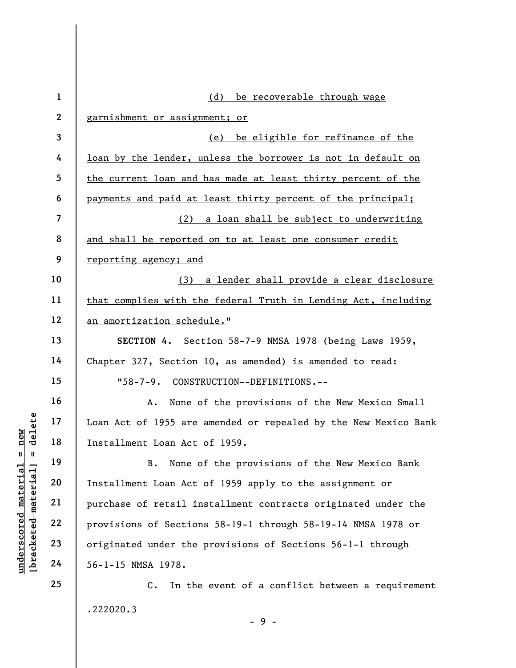|                                             | $\mathbf{1}$   | (d)<br>be recoverable through wage                                 |
|---------------------------------------------|----------------|--------------------------------------------------------------------|
|                                             | $\overline{2}$ | garnishment or assignment; or                                      |
|                                             | 3              | be eligible for refinance of the<br>(e)                            |
|                                             | 4              | loan by the lender, unless the borrower is not in default on       |
|                                             | 5              | the current loan and has made at least thirty percent of the       |
|                                             | 6              | payments and paid at least thirty percent of the principal;        |
|                                             | $\overline{7}$ | (2) a loan shall be subject to underwriting                        |
|                                             | 8              | and shall be reported on to at least one consumer credit           |
|                                             | 9              | reporting agency; and                                              |
|                                             | 10             | (3) a lender shall provide a clear disclosure                      |
|                                             | 11             | that complies with the federal Truth in Lending Act, including     |
|                                             | 12             | an amortization schedule."                                         |
|                                             | 13             | SECTION 4. Section 58-7-9 NMSA 1978 (being Laws 1959,              |
|                                             | 14             | Chapter 327, Section 10, as amended) is amended to read:           |
|                                             | 15             | "58-7-9. CONSTRUCTION--DEFINITIONS.--                              |
|                                             | 16             | None of the provisions of the New Mexico Small<br>Α.               |
| delete                                      | 17             | Loan Act of 1955 are amended or repealed by the New Mexico Bank    |
| new                                         | 18             | Installment Loan Act of 1959.                                      |
| 11<br>H                                     | 19             | None of the provisions of the New Mexico Bank<br>$B$ .             |
|                                             | 20             | Installment Loan Act of 1959 apply to the assignment or            |
|                                             | 21             | purchase of retail installment contracts originated under the      |
|                                             | 22             | provisions of Sections 58-19-1 through 58-19-14 NMSA 1978 or       |
|                                             | 23             | originated under the provisions of Sections 56-1-1 through         |
| underscored material<br>[bracketed material | 24             | 56-1-15 NMSA 1978.                                                 |
|                                             | 25             | In the event of a conflict between a requirement<br>$\mathsf{C}$ . |
|                                             |                | .222020.3                                                          |

- 9 -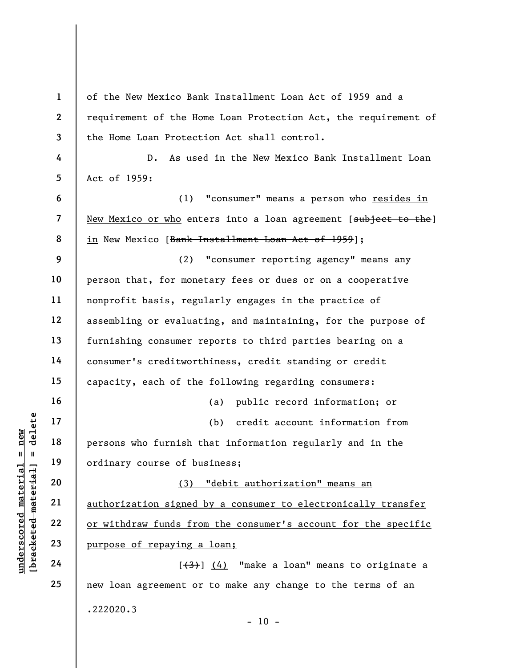|                                                    | $\mathbf{1}$ | of the New Mexico Bank Installment Loan Act of 1959 and a       |
|----------------------------------------------------|--------------|-----------------------------------------------------------------|
|                                                    | $\mathbf{2}$ | requirement of the Home Loan Protection Act, the requirement of |
|                                                    | 3            | the Home Loan Protection Act shall control.                     |
|                                                    | 4            | $D$ .<br>As used in the New Mexico Bank Installment Loan        |
|                                                    | 5            | Act of 1959:                                                    |
|                                                    | 6            | "consumer" means a person who resides in<br>(1)                 |
|                                                    | 7            | New Mexico or who enters into a loan agreement [subject to the] |
|                                                    | 8<br>9       | in New Mexico [ <del>Bank Installment Loan Act of 1959</del> ]; |
|                                                    |              | "consumer reporting agency" means any<br>(2)                    |
|                                                    | 10           | person that, for monetary fees or dues or on a cooperative      |
|                                                    | 11           | nonprofit basis, regularly engages in the practice of           |
|                                                    | 12           | assembling or evaluating, and maintaining, for the purpose of   |
|                                                    | 13           | furnishing consumer reports to third parties bearing on a       |
|                                                    | 14           | consumer's creditworthiness, credit standing or credit          |
|                                                    | 15           | capacity, each of the following regarding consumers:            |
|                                                    | 16           | public record information; or<br>(a)                            |
| delete                                             | 17           | credit account information from<br>(b)                          |
| new<br>$\mathbf{u}$<br>$\blacksquare$              | 18           | persons who furnish that information regularly and in the       |
|                                                    | 19           | ordinary course of business;                                    |
|                                                    | 20           | "debit authorization" means an<br>(3)                           |
|                                                    | 21           | authorization signed by a consumer to electronically transfer   |
|                                                    | 22           | or withdraw funds from the consumer's account for the specific  |
| underscored material<br>$[$ bracketed material $]$ | 23           | purpose of repaying a loan;                                     |
|                                                    | 24           | $[3]$ $(4)$ "make a loan" means to originate a                  |
|                                                    | 25           | new loan agreement or to make any change to the terms of an     |
|                                                    |              | .222020.3<br>$-10 -$                                            |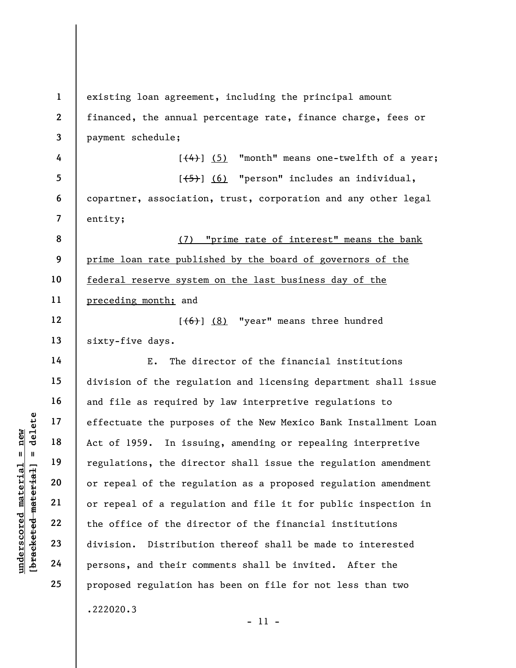understand material effectuate the purpose<br>  $\begin{array}{c|c|c|c} \mathbf{u} & \mathbf{u} & \mathbf{u} & \mathbf{u} \\ \hline \mathbf{u} & \mathbf{u} & \mathbf{u} & \mathbf{u} \\ \hline \mathbf{u} & \mathbf{u} & \mathbf{u} & \mathbf{u} \\ \hline \mathbf{u} & \mathbf{u} & \mathbf{u} & \mathbf{u} \\ \hline \mathbf{u} & \mathbf{u} & \mathbf{u} & \mathbf{u} \\ \hline \mathbf{u} & \math$ 1 2 3 4 5 6 7 8 9 10 11 12 13 14 15 16 17 18 19 20 21 22 23 24 25 existing loan agreement, including the principal amount financed, the annual percentage rate, finance charge, fees or payment schedule;  $[\frac{(4)}{3}]$  (5) "month" means one-twelfth of a year; [(5)] (6) "person" includes an individual, copartner, association, trust, corporation and any other legal entity; (7) "prime rate of interest" means the bank prime loan rate published by the board of governors of the federal reserve system on the last business day of the preceding month; and  $[$   $(6)$   $]$   $(8)$  "year" means three hundred sixty-five days. E. The director of the financial institutions division of the regulation and licensing department shall issue and file as required by law interpretive regulations to effectuate the purposes of the New Mexico Bank Installment Loan Act of 1959. In issuing, amending or repealing interpretive regulations, the director shall issue the regulation amendment or repeal of the regulation as a proposed regulation amendment or repeal of a regulation and file it for public inspection in the office of the director of the financial institutions division. Distribution thereof shall be made to interested persons, and their comments shall be invited. After the proposed regulation has been on file for not less than two .222020.3

- 11 -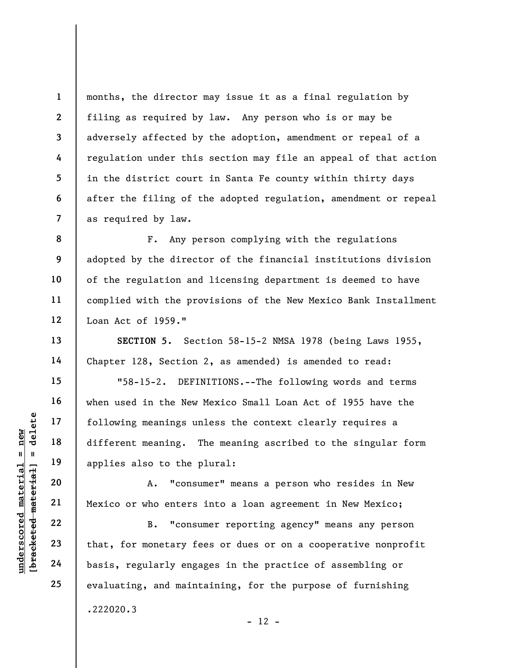months, the director may issue it as a final regulation by filing as required by law. Any person who is or may be adversely affected by the adoption, amendment or repeal of a regulation under this section may file an appeal of that action in the district court in Santa Fe county within thirty days after the filing of the adopted regulation, amendment or repeal as required by law.

F. Any person complying with the regulations adopted by the director of the financial institutions division of the regulation and licensing department is deemed to have complied with the provisions of the New Mexico Bank Installment Loan Act of 1959."

SECTION 5. Section 58-15-2 NMSA 1978 (being Laws 1955, Chapter 128, Section 2, as amended) is amended to read:

underscored material = new [bracketed material] = delete "58-15-2. DEFINITIONS.--The following words and terms when used in the New Mexico Small Loan Act of 1955 have the following meanings unless the context clearly requires a different meaning. The meaning ascribed to the singular form applies also to the plural:

A. "consumer" means a person who resides in New Mexico or who enters into a loan agreement in New Mexico;

B. "consumer reporting agency" means any person that, for monetary fees or dues or on a cooperative nonprofit basis, regularly engages in the practice of assembling or evaluating, and maintaining, for the purpose of furnishing .222020.3  $- 12 -$ 

1

2

3

4

5

6

7

8

9

10

11

12

13

14

15

16

17

18

19

20

21

22

23

24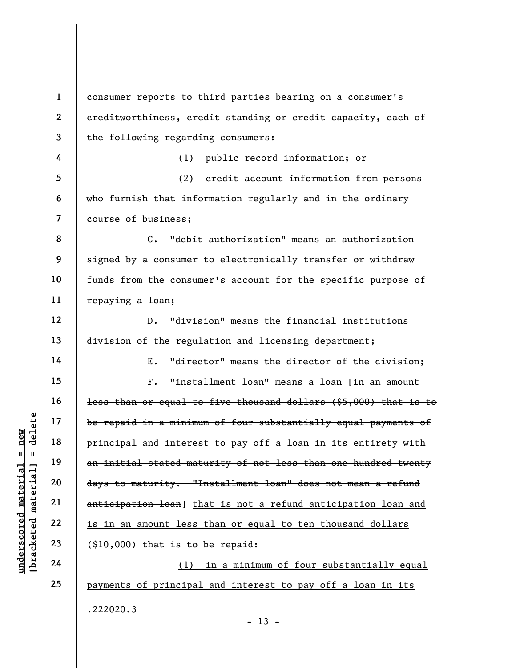underscored material = new [bracketed material] = delete 1 2 3 4 5 6 7 8 9 10 11 12 13 14 15 16 17 18 19 20 21 22 23 24 25 consumer reports to third parties bearing on a consumer's creditworthiness, credit standing or credit capacity, each of the following regarding consumers: (1) public record information; or (2) credit account information from persons who furnish that information regularly and in the ordinary course of business; C. "debit authorization" means an authorization signed by a consumer to electronically transfer or withdraw funds from the consumer's account for the specific purpose of repaying a loan; D. "division" means the financial institutions division of the regulation and licensing department; E. "director" means the director of the division; F. "installment loan" means a loan [in an amount less than or equal to five thousand dollars (\$5,000) that is to be repaid in a minimum of four substantially equal payments of principal and interest to pay off a loan in its entirety with an initial stated maturity of not less than one hundred twenty days to maturity. "Installment loan" does not mean a refund anticipation loan] that is not a refund anticipation loan and is in an amount less than or equal to ten thousand dollars (\$10,000) that is to be repaid: (1) in a minimum of four substantially equal payments of principal and interest to pay off a loan in its .222020.3  $- 13 -$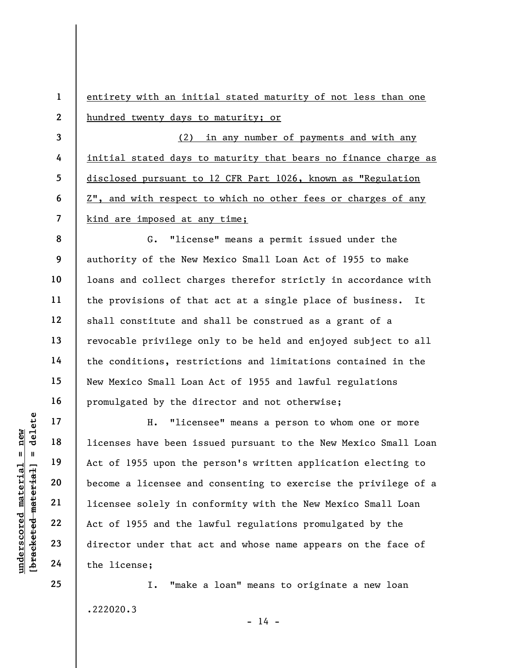1 2 entirety with an initial stated maturity of not less than one hundred twenty days to maturity; or

(2) in any number of payments and with any initial stated days to maturity that bears no finance charge as disclosed pursuant to 12 CFR Part 1026, known as "Regulation Z", and with respect to which no other fees or charges of any kind are imposed at any time;

8 9 10 11 12 13 14 15 16 G. "license" means a permit issued under the authority of the New Mexico Small Loan Act of 1955 to make loans and collect charges therefor strictly in accordance with the provisions of that act at a single place of business. It shall constitute and shall be construed as a grant of a revocable privilege only to be held and enjoyed subject to all the conditions, restrictions and limitations contained in the New Mexico Small Loan Act of 1955 and lawful regulations promulgated by the director and not otherwise;

underscored material = new [bracketed material] = delete H. "licensee" means a person to whom one or more licenses have been issued pursuant to the New Mexico Small Loan Act of 1955 upon the person's written application electing to become a licensee and consenting to exercise the privilege of a licensee solely in conformity with the New Mexico Small Loan Act of 1955 and the lawful regulations promulgated by the director under that act and whose name appears on the face of the license;

> I. "make a loan" means to originate a new loan .222020.3  $- 14 -$

25

17

18

19

20

21

22

23

24

3

4

5

6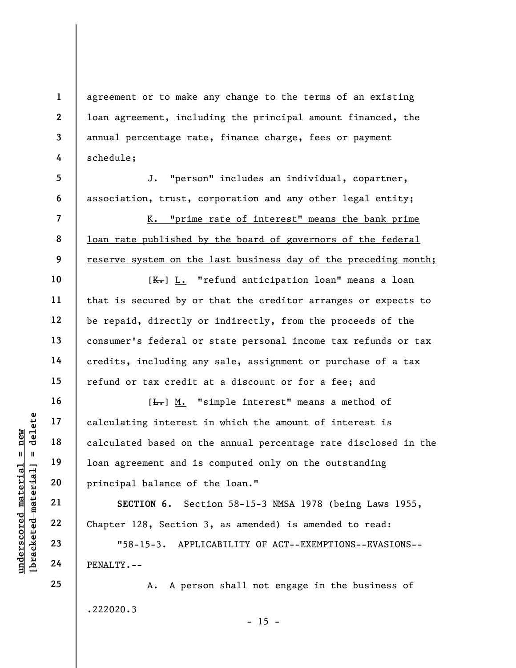agreement or to make any change to the terms of an existing loan agreement, including the principal amount financed, the annual percentage rate, finance charge, fees or payment schedule;

J. "person" includes an individual, copartner, association, trust, corporation and any other legal entity;

K. "prime rate of interest" means the bank prime loan rate published by the board of governors of the federal reserve system on the last business day of the preceding month;

[ $K$ .] L. "refund anticipation loan" means a loan that is secured by or that the creditor arranges or expects to be repaid, directly or indirectly, from the proceeds of the consumer's federal or state personal income tax refunds or tax credits, including any sale, assignment or purchase of a tax refund or tax credit at a discount or for a fee; and

underscored material = new [bracketed material] = delete [ $\overline{L}$ .] M. "simple interest" means a method of calculating interest in which the amount of interest is calculated based on the annual percentage rate disclosed in the loan agreement and is computed only on the outstanding principal balance of the loan."

SECTION 6. Section 58-15-3 NMSA 1978 (being Laws 1955, Chapter 128, Section 3, as amended) is amended to read:

"58-15-3. APPLICABILITY OF ACT--EXEMPTIONS--EVASIONS-- PENALTY.--

A. A person shall not engage in the business of .222020.3  $- 15 -$ 

1

2

3

4

5

6

7

8

9

10

11

12

13

14

15

16

17

18

19

20

21

22

23

24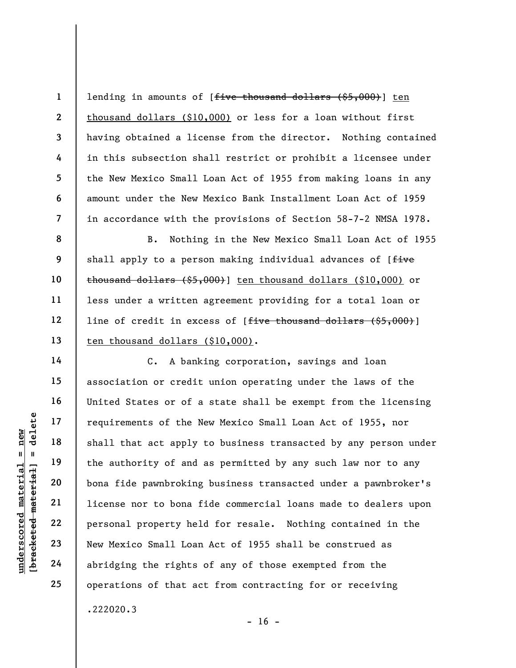lending in amounts of [five thousand dollars (\$5,000)] ten thousand dollars (\$10,000) or less for a loan without first having obtained a license from the director. Nothing contained in this subsection shall restrict or prohibit a licensee under the New Mexico Small Loan Act of 1955 from making loans in any amount under the New Mexico Bank Installment Loan Act of 1959 in accordance with the provisions of Section 58-7-2 NMSA 1978.

8 9 B. Nothing in the New Mexico Small Loan Act of 1955 shall apply to a person making individual advances of [five thousand dollars  $(55,000)$  ten thousand dollars (\$10,000) or less under a written agreement providing for a total loan or line of credit in excess of [<del>five thousand dollars (\$5,000)</del>] ten thousand dollars (\$10,000).

underscore material material shall that act apply<br>  $\begin{array}{c|c|c|c} \hline \text{u} & \text{u} & \text{u} & \text{u} \\ \hline \text{u} & \text{u} & \text{u} & \text{u} \\ \hline \text{u} & \text{u} & \text{u} & \text{u} \\ \hline \text{u} & \text{u} & \text{u} & \text{u} \\ \hline \text{u} & \text{u} & \text{u} & \text{u} \\ \hline \text{u} & \text{u} & \text{u} & \$ C. A banking corporation, savings and loan association or credit union operating under the laws of the United States or of a state shall be exempt from the licensing requirements of the New Mexico Small Loan Act of 1955, nor shall that act apply to business transacted by any person under the authority of and as permitted by any such law nor to any bona fide pawnbroking business transacted under a pawnbroker's license nor to bona fide commercial loans made to dealers upon personal property held for resale. Nothing contained in the New Mexico Small Loan Act of 1955 shall be construed as abridging the rights of any of those exempted from the operations of that act from contracting for or receiving .222020.3

1

2

3

4

5

6

7

10

11

12

13

14

15

16

17

18

19

20

21

22

23

24

25

 $- 16 -$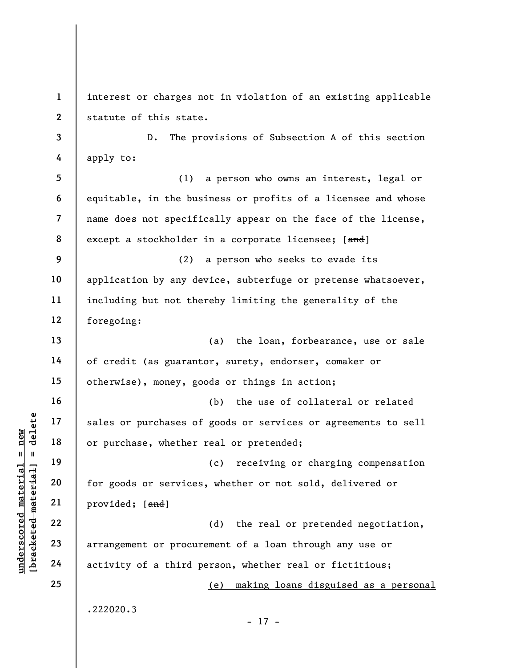UNDERETRIES OF PUTCHASES OF<br>
19 18 OF PUTCHASE, whether<br>
19 20 for goods or services<br>
21 provided; [and]<br>
22 arrangement or procur<br>
24 activity of a third p 1 2 3 4 5 6 7 8 9 10 11 12 13 14 15 16 17 18 19 20 21 22 23 24 25 interest or charges not in violation of an existing applicable statute of this state. D. The provisions of Subsection A of this section apply to: (1) a person who owns an interest, legal or equitable, in the business or profits of a licensee and whose name does not specifically appear on the face of the license, except a stockholder in a corporate licensee; [and] (2) a person who seeks to evade its application by any device, subterfuge or pretense whatsoever, including but not thereby limiting the generality of the foregoing: (a) the loan, forbearance, use or sale of credit (as guarantor, surety, endorser, comaker or otherwise), money, goods or things in action; (b) the use of collateral or related sales or purchases of goods or services or agreements to sell or purchase, whether real or pretended; (c) receiving or charging compensation for goods or services, whether or not sold, delivered or provided; [and] (d) the real or pretended negotiation, arrangement or procurement of a loan through any use or activity of a third person, whether real or fictitious; (e) making loans disguised as a personal .222020.3 - 17 -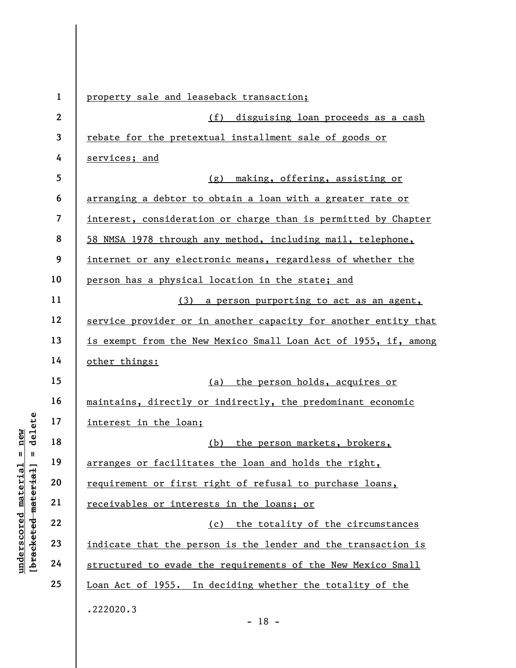|                                             | $\mathbf{1}$            | property sale and leaseback transaction;                        |
|---------------------------------------------|-------------------------|-----------------------------------------------------------------|
|                                             | $\mathbf{2}$            | disguising loan proceeds as a cash<br>(f)                       |
|                                             | 3                       | rebate for the pretextual installment sale of goods or          |
|                                             | 4                       | services; and                                                   |
|                                             | 5                       | (g) making, offering, assisting or                              |
|                                             | 6                       | arranging a debtor to obtain a loan with a greater rate or      |
|                                             | $\overline{\mathbf{z}}$ | interest, consideration or charge than is permitted by Chapter  |
|                                             | 8                       | 58 NMSA 1978 through any method, including mail, telephone,     |
|                                             | 9                       | internet or any electronic means, regardless of whether the     |
|                                             | 10                      | person has a physical location in the state; and                |
|                                             | 11                      | (3) a person purporting to act as an agent,                     |
|                                             | 12                      | service provider or in another capacity for another entity that |
|                                             | 13                      | is exempt from the New Mexico Small Loan Act of 1955, if, among |
|                                             | 14                      | other things:                                                   |
|                                             | 15                      | (a) the person holds, acquires or                               |
|                                             | 16                      | maintains, directly or indirectly, the predominant economic     |
| delete                                      | 17                      | interest in the loan;                                           |
| new                                         | 18                      | (b) the person markets, brokers,                                |
| H<br>$\mathbf{I}$                           | 19                      | arranges or facilitates the loan and holds the right,           |
|                                             | 20                      | requirement or first right of refusal to purchase loans,        |
|                                             | 21                      | receivables or interests in the loans; or                       |
|                                             | 22                      | the totality of the circumstances<br>(c)                        |
|                                             | 23                      | indicate that the person is the lender and the transaction is   |
| underscored material<br>[bracketed material | 24                      | structured to evade the requirements of the New Mexico Small    |
|                                             | 25                      | Loan Act of 1955. In deciding whether the totality of the       |
|                                             |                         | .222020.3                                                       |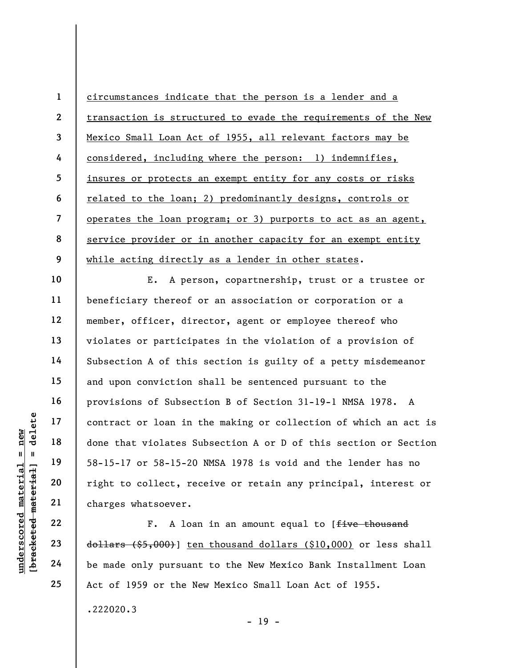1 2 3 4 5 6 7 8 9 circumstances indicate that the person is a lender and a transaction is structured to evade the requirements of the New Mexico Small Loan Act of 1955, all relevant factors may be considered, including where the person: 1) indemnifies, insures or protects an exempt entity for any costs or risks related to the loan; 2) predominantly designs, controls or operates the loan program; or 3) purports to act as an agent, service provider or in another capacity for an exempt entity while acting directly as a lender in other states.

underscores material material end of the material of the material of the material of the material changes whatsoever.<br>
The settlement of the settlement of the settlement of the settlement of the settlement of the settlemen E. A person, copartnership, trust or a trustee or beneficiary thereof or an association or corporation or a member, officer, director, agent or employee thereof who violates or participates in the violation of a provision of Subsection A of this section is guilty of a petty misdemeanor and upon conviction shall be sentenced pursuant to the provisions of Subsection B of Section 31-19-1 NMSA 1978. A contract or loan in the making or collection of which an act is done that violates Subsection A or D of this section or Section 58-15-17 or 58-15-20 NMSA 1978 is void and the lender has no right to collect, receive or retain any principal, interest or charges whatsoever.

F. A loan in an amount equal to [five thousand  $\frac{d{\theta}}{d{\theta}}$  (\$5,000)] ten thousand dollars (\$10,000) or less shall be made only pursuant to the New Mexico Bank Installment Loan Act of 1959 or the New Mexico Small Loan Act of 1955.

 $- 19 -$ 

10

11

12

13

14

15

16

17

18

19

20

21

22

23

24

25

.222020.3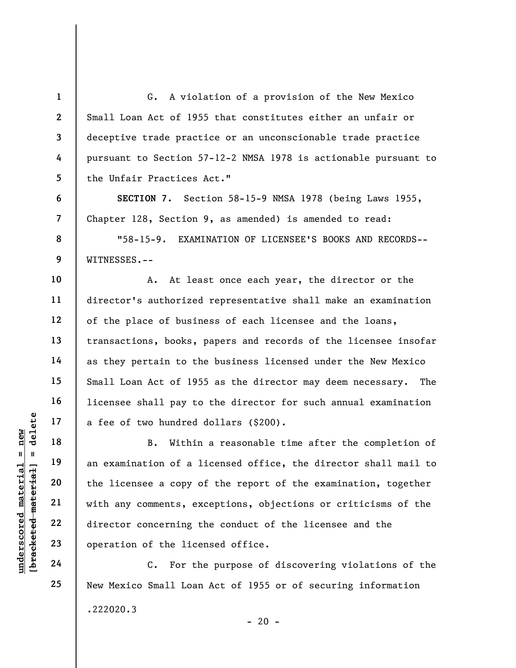G. A violation of a provision of the New Mexico Small Loan Act of 1955 that constitutes either an unfair or deceptive trade practice or an unconscionable trade practice pursuant to Section 57-12-2 NMSA 1978 is actionable pursuant to the Unfair Practices Act."

SECTION 7. Section 58-15-9 NMSA 1978 (being Laws 1955, Chapter 128, Section 9, as amended) is amended to read:

"58-15-9. EXAMINATION OF LICENSEE'S BOOKS AND RECORDS-- WITNESSES.--

A. At least once each year, the director or the director's authorized representative shall make an examination of the place of business of each licensee and the loans, transactions, books, papers and records of the licensee insofar as they pertain to the business licensed under the New Mexico Small Loan Act of 1955 as the director may deem necessary. The licensee shall pay to the director for such annual examination a fee of two hundred dollars (\$200).

understand material and the license a copy of the license a copy of the license a copy of the license a copy of the license a copy of the license a copy of the license a copy of the license a copy of the license a copy of B. Within a reasonable time after the completion of an examination of a licensed office, the director shall mail to the licensee a copy of the report of the examination, together with any comments, exceptions, objections or criticisms of the director concerning the conduct of the licensee and the operation of the licensed office.

C. For the purpose of discovering violations of the New Mexico Small Loan Act of 1955 or of securing information .222020.3  $- 20 -$ 

23 24

25

1

2

3

4

5

6

7

8

9

10

11

12

13

14

15

16

17

18

19

20

21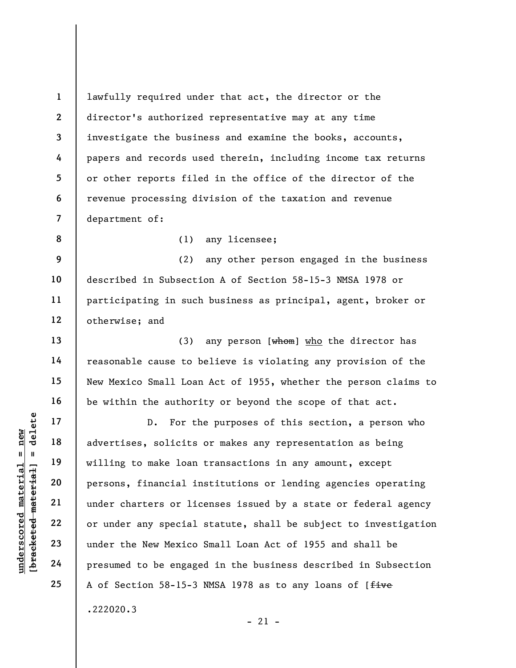lawfully required under that act, the director or the director's authorized representative may at any time investigate the business and examine the books, accounts, papers and records used therein, including income tax returns or other reports filed in the office of the director of the revenue processing division of the taxation and revenue department of:

8

13

14

15

16

17

18

19

20

21

22

23

24

25

1

2

3

4

5

6

7

## (1) any licensee;

9 10 11 12 (2) any other person engaged in the business described in Subsection A of Section 58-15-3 NMSA 1978 or participating in such business as principal, agent, broker or otherwise; and

(3) any person  $[**when**]$  who the director has reasonable cause to believe is violating any provision of the New Mexico Small Loan Act of 1955, whether the person claims to be within the authority or beyond the scope of that act.

underscored material = new [bracketed material] = delete D. For the purposes of this section, a person who advertises, solicits or makes any representation as being willing to make loan transactions in any amount, except persons, financial institutions or lending agencies operating under charters or licenses issued by a state or federal agency or under any special statute, shall be subject to investigation under the New Mexico Small Loan Act of 1955 and shall be presumed to be engaged in the business described in Subsection A of Section 58-15-3 NMSA 1978 as to any loans of [five

 $-21 -$ 

.222020.3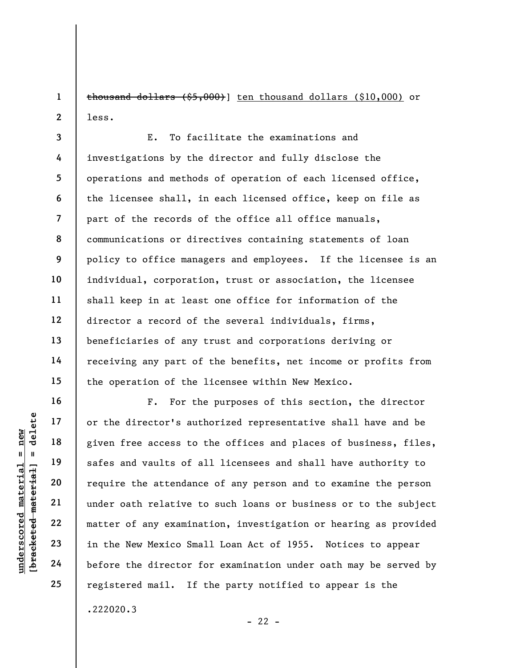1 2 thousand dollars (\$5,000)] ten thousand dollars (\$10,000) or less.

3 4 5 6 7 8 9 10 11 12 13 14 15 E. To facilitate the examinations and investigations by the director and fully disclose the operations and methods of operation of each licensed office, the licensee shall, in each licensed office, keep on file as part of the records of the office all office manuals, communications or directives containing statements of loan policy to office managers and employees. If the licensee is an individual, corporation, trust or association, the licensee shall keep in at least one office for information of the director a record of the several individuals, firms, beneficiaries of any trust and corporations deriving or receiving any part of the benefits, net income or profits from the operation of the licensee within New Mexico.

underscored material = new [bracketed material] = delete F. For the purposes of this section, the director or the director's authorized representative shall have and be given free access to the offices and places of business, files, safes and vaults of all licensees and shall have authority to require the attendance of any person and to examine the person under oath relative to such loans or business or to the subject matter of any examination, investigation or hearing as provided in the New Mexico Small Loan Act of 1955. Notices to appear before the director for examination under oath may be served by registered mail. If the party notified to appear is the .222020.3

16

17

18

19

20

21

22

23

24

25

 $- 22 -$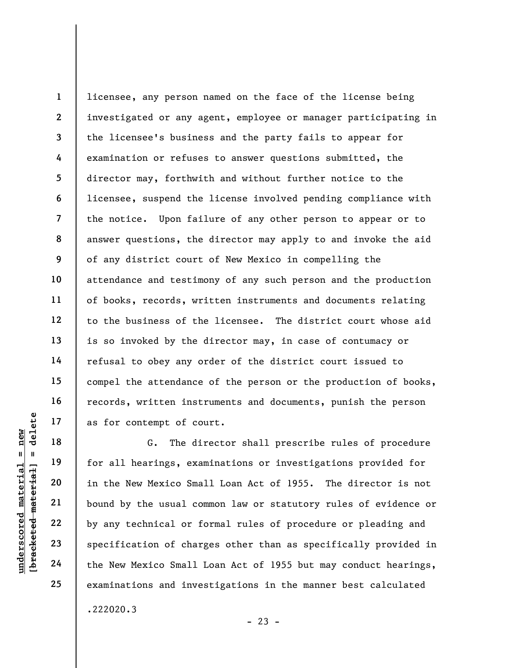8 12 licensee, any person named on the face of the license being investigated or any agent, employee or manager participating in the licensee's business and the party fails to appear for examination or refuses to answer questions submitted, the director may, forthwith and without further notice to the licensee, suspend the license involved pending compliance with the notice. Upon failure of any other person to appear or to answer questions, the director may apply to and invoke the aid of any district court of New Mexico in compelling the attendance and testimony of any such person and the production of books, records, written instruments and documents relating to the business of the licensee. The district court whose aid is so invoked by the director may, in case of contumacy or refusal to obey any order of the district court issued to compel the attendance of the person or the production of books, records, written instruments and documents, punish the person as for contempt of court.

understand material material or the New Mexico Small<br>
we were the set of the New Mexico Small<br>
we were the New Mexico Small<br>
we were the New Mexico Small<br>
23<br>
24<br>
the New Mexico Small<br>
the New Mexico Small<br>
the New Mexico G. The director shall prescribe rules of procedure for all hearings, examinations or investigations provided for in the New Mexico Small Loan Act of 1955. The director is not bound by the usual common law or statutory rules of evidence or by any technical or formal rules of procedure or pleading and specification of charges other than as specifically provided in the New Mexico Small Loan Act of 1955 but may conduct hearings, examinations and investigations in the manner best calculated .222020.3

1

2

3

4

5

6

7

9

10

11

13

14

15

16

17

18

19

20

21

22

23

24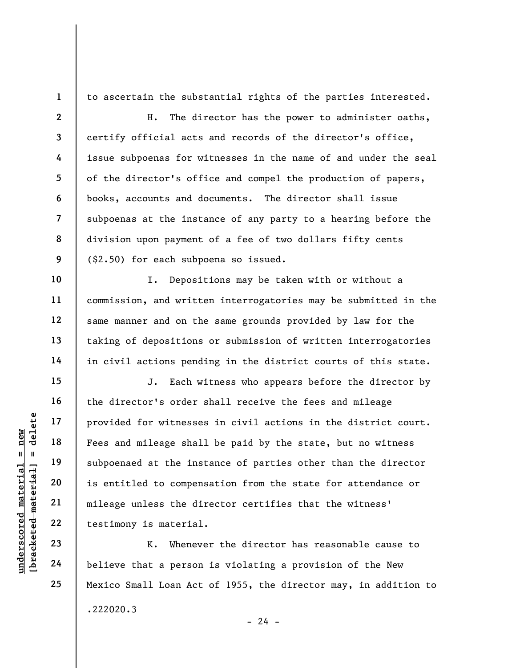1

10

11

12

13

14

15

16

17

18

19

20

21

22

23

24

25

to ascertain the substantial rights of the parties interested.

2 3 4 5 6 7 8 9 H. The director has the power to administer oaths, certify official acts and records of the director's office, issue subpoenas for witnesses in the name of and under the seal of the director's office and compel the production of papers, books, accounts and documents. The director shall issue subpoenas at the instance of any party to a hearing before the division upon payment of a fee of two dollars fifty cents (\$2.50) for each subpoena so issued.

I. Depositions may be taken with or without a commission, and written interrogatories may be submitted in the same manner and on the same grounds provided by law for the taking of depositions or submission of written interrogatories in civil actions pending in the district courts of this state.

under 17<br>
= 18<br>
= 18<br>
= 19<br>
= 19<br>
= 19<br>
= 19<br>
= 19<br>
= 19<br>
= 19<br>
= 19<br>
= 19<br>
= 19<br>
= 19<br>
= 19<br>
= 19<br>
= 19<br>
= 19<br>
= 19<br>
= 19<br>
= 19<br>
= 19<br>
= 19<br>
= 19<br>
= 19<br>
= 19<br>
= 19<br>
= 19<br>
= 19<br>
= 19<br>
= 19<br>
= 19<br>
= 19<br>
= 19<br>
= 19<br>
= 19<br>
= J. Each witness who appears before the director by the director's order shall receive the fees and mileage provided for witnesses in civil actions in the district court. Fees and mileage shall be paid by the state, but no witness subpoenaed at the instance of parties other than the director is entitled to compensation from the state for attendance or mileage unless the director certifies that the witness' testimony is material.

K. Whenever the director has reasonable cause to believe that a person is violating a provision of the New Mexico Small Loan Act of 1955, the director may, in addition to .222020.3

 $- 24 -$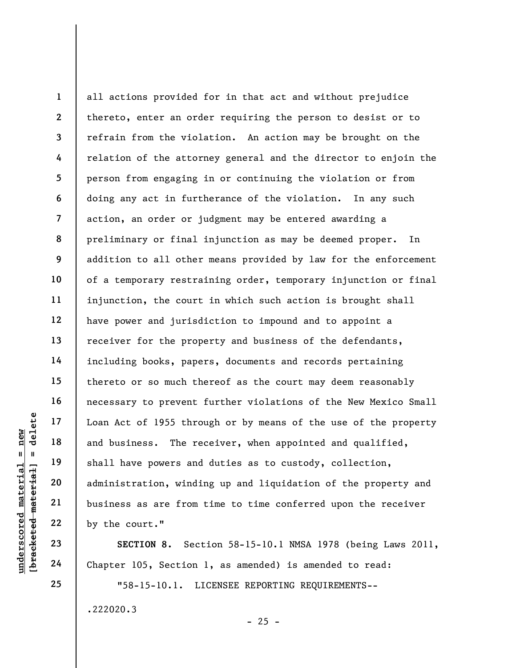understand material and business. The reading the court of 1955 through the material of the shall have powers and administration, windi business as are from 22 by the court."<br>
Example 22 by the court."<br>
23 SECTION 8. Secti 1 2 3 4 5 6 7 8 9 10 11 12 13 14 15 16 17 18 19 20 21 22 all actions provided for in that act and without prejudice thereto, enter an order requiring the person to desist or to refrain from the violation. An action may be brought on the relation of the attorney general and the director to enjoin the person from engaging in or continuing the violation or from doing any act in furtherance of the violation. In any such action, an order or judgment may be entered awarding a preliminary or final injunction as may be deemed proper. In addition to all other means provided by law for the enforcement of a temporary restraining order, temporary injunction or final injunction, the court in which such action is brought shall have power and jurisdiction to impound and to appoint a receiver for the property and business of the defendants, including books, papers, documents and records pertaining thereto or so much thereof as the court may deem reasonably necessary to prevent further violations of the New Mexico Small Loan Act of 1955 through or by means of the use of the property and business. The receiver, when appointed and qualified, shall have powers and duties as to custody, collection, administration, winding up and liquidation of the property and business as are from time to time conferred upon the receiver by the court."

SECTION 8. Section 58-15-10.1 NMSA 1978 (being Laws 2011, Chapter 105, Section 1, as amended) is amended to read:

 $- 25 -$ 

"58-15-10.1. LICENSEE REPORTING REQUIREMENTS--

.222020.3

23

24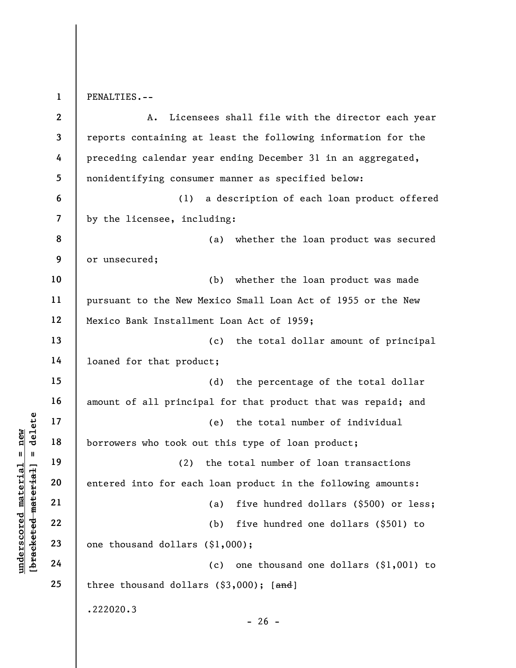1 PENALTIES.--

underscored material material material entered into for each<br>
definition of the set of the set of the set of the set of the set of the set of the set of the set of the set of the set of the set of the set of the set of the 2 3 4 5 6 7 8 9 10 11 12 13 14 15 16 17 18 19 20 21 22 23 24 25 A. Licensees shall file with the director each year reports containing at least the following information for the preceding calendar year ending December 31 in an aggregated, nonidentifying consumer manner as specified below: (1) a description of each loan product offered by the licensee, including: (a) whether the loan product was secured or unsecured; (b) whether the loan product was made pursuant to the New Mexico Small Loan Act of 1955 or the New Mexico Bank Installment Loan Act of 1959; (c) the total dollar amount of principal loaned for that product; (d) the percentage of the total dollar amount of all principal for that product that was repaid; and (e) the total number of individual borrowers who took out this type of loan product; (2) the total number of loan transactions entered into for each loan product in the following amounts: (a) five hundred dollars (\$500) or less; (b) five hundred one dollars (\$501) to one thousand dollars (\$1,000); (c) one thousand one dollars (\$1,001) to three thousand dollars  $(§3,000);$  [and] .222020.3  $- 26 -$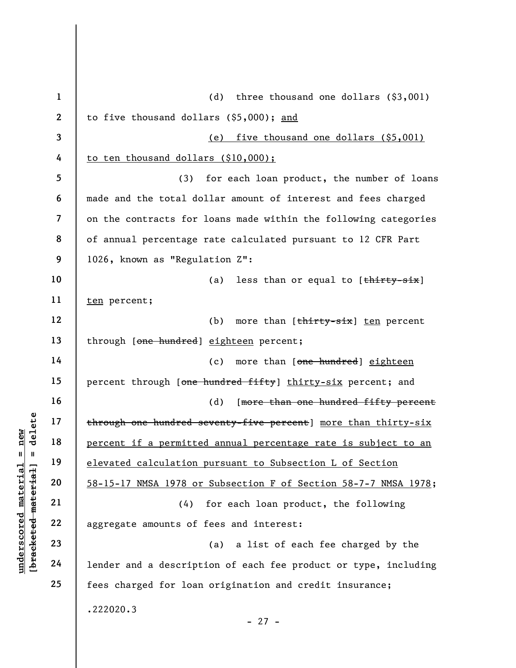|                                                    |                | $\mathbf{1}$ | (d)<br>three thousand one dollars $(§3,001)$                    |
|----------------------------------------------------|----------------|--------------|-----------------------------------------------------------------|
|                                                    | $\mathbf{2}$   |              | to five thousand dollars (\$5,000); and                         |
|                                                    | 3              |              | (e) five thousand one dollars (\$5,001)                         |
|                                                    | 4              |              | to ten thousand dollars (\$10,000);                             |
|                                                    | 5              |              | (3)<br>for each loan product, the number of loans               |
|                                                    | 6              |              | made and the total dollar amount of interest and fees charged   |
|                                                    | $\overline{7}$ |              | on the contracts for loans made within the following categories |
|                                                    | 8              |              | of annual percentage rate calculated pursuant to 12 CFR Part    |
|                                                    | 9              |              | 1026, known as "Regulation Z":                                  |
|                                                    | 10             |              | (a)<br>less than or equal to [thirty-six]                       |
|                                                    | 11             |              | ten percent;                                                    |
|                                                    | 12             |              | (b)<br>more than [thirty-six] ten percent                       |
|                                                    | 13             |              | through [one hundred] eighteen percent;                         |
|                                                    | 14             |              | more than [one hundred] eighteen<br>(c)                         |
|                                                    | 15             |              | percent through [one hundred fifty] thirty-six percent; and     |
|                                                    | 16             |              | (d)<br>[more than one hundred fifty percent                     |
| delete                                             | 17             |              | through one hundred seventy-five percent] more than thirty-six  |
| new<br>H                                           | 18             |              | percent if a permitted annual percentage rate is subject to an  |
| Ш                                                  | 19             |              | elevated calculation pursuant to Subsection L of Section        |
| material                                           | material<br>20 |              | 58-15-17 NMSA 1978 or Subsection F of Section 58-7-7 NMSA 1978; |
|                                                    | 21             |              | for each loan product, the following<br>(4)                     |
| underscored<br>[ <del>brack</del> ete <del>d</del> | 22             |              | aggregate amounts of fees and interest:                         |
|                                                    | 23             |              | a list of each fee charged by the<br>(a)                        |
|                                                    | 24             |              | lender and a description of each fee product or type, including |
|                                                    | 25             |              | fees charged for loan origination and credit insurance;         |
|                                                    |                |              | .222020.3                                                       |
|                                                    |                |              |                                                                 |

- 27 -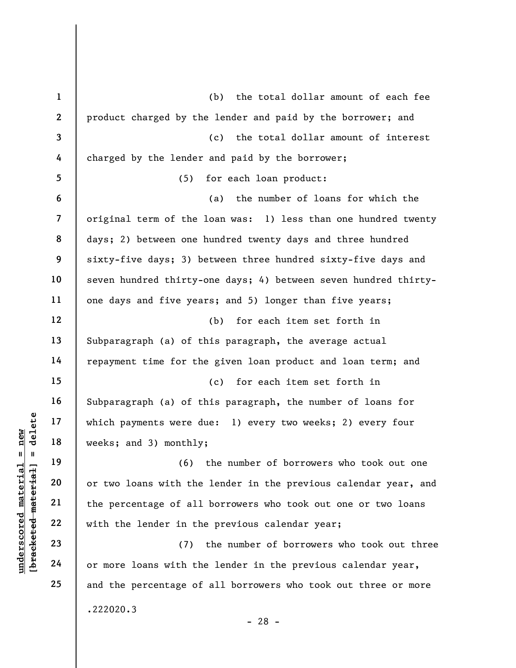understand 17<br>
and 18<br>
which payments were d<br>
weeks; and 3) monthly<br>
(6)<br>
or two loans with the<br>
core of all<br>
with the lender in th<br>
23<br>
24<br>
or more loans with the<br>
core of all<br>
core loans with the<br>
core loans with the<br>
co 1 2 3 4 5 6 7 8 9 10 11 12 13 14 15 16 17 18 19 20 21 22 23 24 25 (b) the total dollar amount of each fee product charged by the lender and paid by the borrower; and (c) the total dollar amount of interest charged by the lender and paid by the borrower; (5) for each loan product: (a) the number of loans for which the original term of the loan was: 1) less than one hundred twenty days; 2) between one hundred twenty days and three hundred sixty-five days; 3) between three hundred sixty-five days and seven hundred thirty-one days; 4) between seven hundred thirtyone days and five years; and 5) longer than five years; (b) for each item set forth in Subparagraph (a) of this paragraph, the average actual repayment time for the given loan product and loan term; and (c) for each item set forth in Subparagraph (a) of this paragraph, the number of loans for which payments were due: 1) every two weeks; 2) every four weeks; and 3) monthly; (6) the number of borrowers who took out one or two loans with the lender in the previous calendar year, and the percentage of all borrowers who took out one or two loans with the lender in the previous calendar year; (7) the number of borrowers who took out three or more loans with the lender in the previous calendar year, and the percentage of all borrowers who took out three or more .222020.3 - 28 -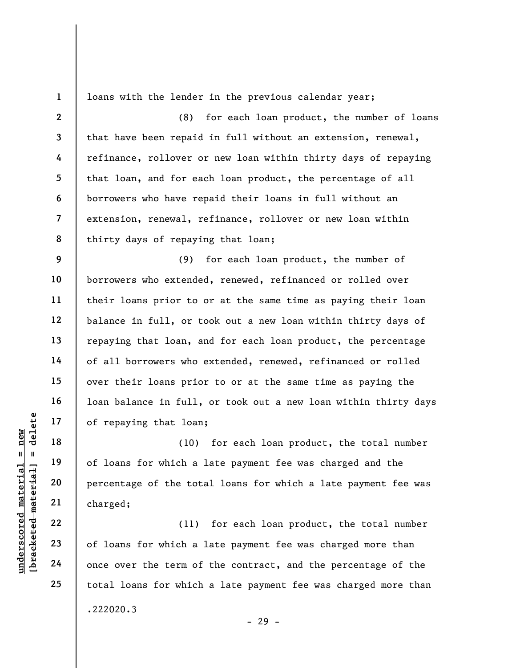1

loans with the lender in the previous calendar year;

2 3 4 5 6 7 8 (8) for each loan product, the number of loans that have been repaid in full without an extension, renewal, refinance, rollover or new loan within thirty days of repaying that loan, and for each loan product, the percentage of all borrowers who have repaid their loans in full without an extension, renewal, refinance, rollover or new loan within thirty days of repaying that loan;

9 10 11 12 13 14 15 16 17 (9) for each loan product, the number of borrowers who extended, renewed, refinanced or rolled over their loans prior to or at the same time as paying their loan balance in full, or took out a new loan within thirty days of repaying that loan, and for each loan product, the percentage of all borrowers who extended, renewed, refinanced or rolled over their loans prior to or at the same time as paying the loan balance in full, or took out a new loan within thirty days of repaying that loan;

underscored material = new [bracketed material] = delete (10) for each loan product, the total number of loans for which a late payment fee was charged and the percentage of the total loans for which a late payment fee was charged;

(11) for each loan product, the total number of loans for which a late payment fee was charged more than once over the term of the contract, and the percentage of the total loans for which a late payment fee was charged more than .222020.3 - 29 -

18

19

20

21

22

23

24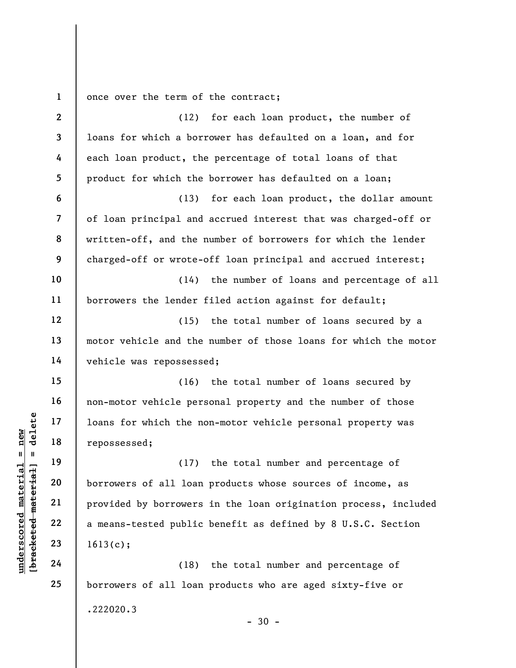1 once over the term of the contract;

understand material material material end of the material of the material of the material of the material corrections of all loan provided by borrowers<br>gradient 22 a means-tested public 23 a means-tested public 24 (18) 2 3 4 5 6 7 8 9 10 11 12 13 14 15 16 17 18 19 20 21 22 23 24 25 (12) for each loan product, the number of loans for which a borrower has defaulted on a loan, and for each loan product, the percentage of total loans of that product for which the borrower has defaulted on a loan; (13) for each loan product, the dollar amount of loan principal and accrued interest that was charged-off or written-off, and the number of borrowers for which the lender charged-off or wrote-off loan principal and accrued interest; (14) the number of loans and percentage of all borrowers the lender filed action against for default; (15) the total number of loans secured by a motor vehicle and the number of those loans for which the motor vehicle was repossessed; (16) the total number of loans secured by non-motor vehicle personal property and the number of those loans for which the non-motor vehicle personal property was repossessed; (17) the total number and percentage of borrowers of all loan products whose sources of income, as provided by borrowers in the loan origination process, included a means-tested public benefit as defined by 8 U.S.C. Section 1613(c); (18) the total number and percentage of borrowers of all loan products who are aged sixty-five or .222020.3

 $-30 -$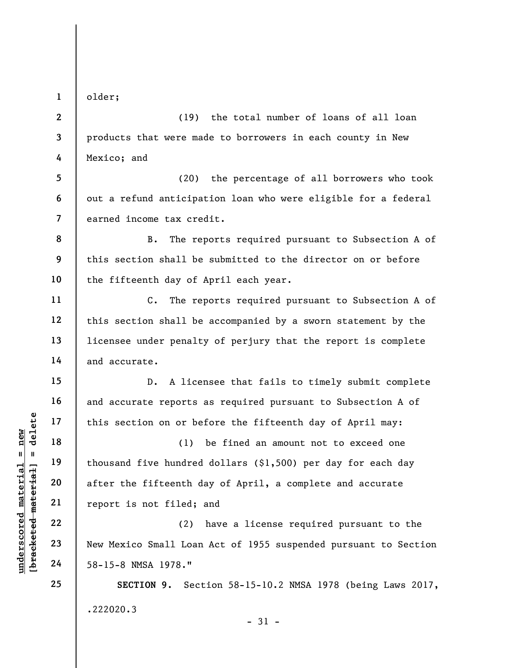1

5

6

7

11

12

13

14

15

16

17

18

19

20

21

22

23

24

25

older;

2 3 4 (19) the total number of loans of all loan products that were made to borrowers in each county in New Mexico; and

(20) the percentage of all borrowers who took out a refund anticipation loan who were eligible for a federal earned income tax credit.

8 9 10 B. The reports required pursuant to Subsection A of this section shall be submitted to the director on or before the fifteenth day of April each year.

C. The reports required pursuant to Subsection A of this section shall be accompanied by a sworn statement by the licensee under penalty of perjury that the report is complete and accurate.

D. A licensee that fails to timely submit complete and accurate reports as required pursuant to Subsection A of this section on or before the fifteenth day of April may:

understand material material of this section on or be<br>  $\begin{array}{c|c|c|c} \n\text{u} & \text{u} & \text{u} & \text{u} & \text{u} & \text{u} & \text{u} & \text{u} & \text{u} & \text{u} & \text{u} & \text{u} & \text{u} & \text{u} & \text{u} & \text{u} & \text{u} & \text{u} & \text{u} & \text{u} & \text{u} & \text{u} & \text{u} & \text{u} & \text{u} & \$ (1) be fined an amount not to exceed one thousand five hundred dollars (\$1,500) per day for each day after the fifteenth day of April, a complete and accurate report is not filed; and

(2) have a license required pursuant to the New Mexico Small Loan Act of 1955 suspended pursuant to Section 58-15-8 NMSA 1978."

SECTION 9. Section 58-15-10.2 NMSA 1978 (being Laws 2017, .222020.3 - 31 -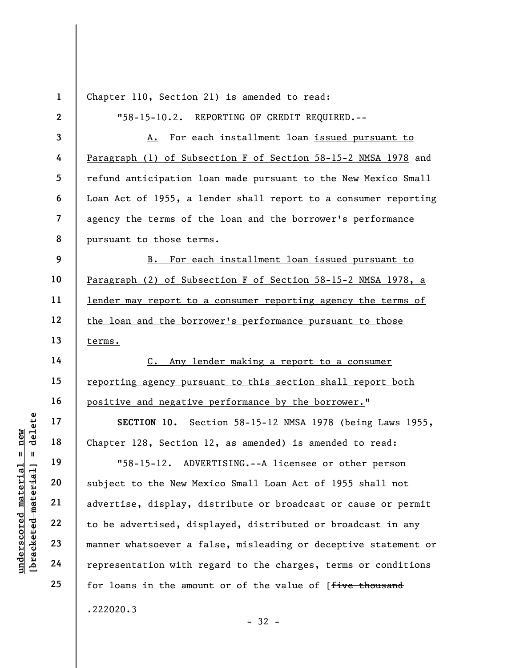|                                             | $\mathbf{1}$             | Chapter 110, Section 21) is amended to read:                    |
|---------------------------------------------|--------------------------|-----------------------------------------------------------------|
|                                             |                          |                                                                 |
|                                             | $\mathbf{2}$             | "58-15-10.2. REPORTING OF CREDIT REQUIRED.--                    |
|                                             | 3                        | For each installment loan issued pursuant to<br>Α.              |
|                                             | 4                        | Paragraph (1) of Subsection F of Section 58-15-2 NMSA 1978 and  |
|                                             | 5                        | refund anticipation loan made pursuant to the New Mexico Small  |
|                                             | 6                        | Loan Act of 1955, a lender shall report to a consumer reporting |
|                                             | $\overline{\mathcal{L}}$ | agency the terms of the loan and the borrower's performance     |
|                                             | 8                        | pursuant to those terms.                                        |
|                                             | 9                        | For each installment loan issued pursuant to<br>в.              |
|                                             | 10                       | Paragraph (2) of Subsection F of Section 58-15-2 NMSA 1978, a   |
|                                             | 11                       | lender may report to a consumer reporting agency the terms of   |
|                                             | 12                       | the loan and the borrower's performance pursuant to those       |
|                                             | 13                       | terms.                                                          |
|                                             | 14                       | Any lender making a report to a consumer<br>$C_{\bullet}$       |
|                                             | 15                       | reporting agency pursuant to this section shall report both     |
|                                             | 16                       | positive and negative performance by the borrower."             |
| delete                                      | 17                       | SECTION 10. Section 58-15-12 NMSA 1978 (being Laws 1955,        |
| $n$ ew                                      | 18                       | Chapter 128, Section 12, as amended) is amended to read:        |
| $   \cdot   $                               | 19                       | "58-15-12. ADVERTISING.--A licensee or other person             |
|                                             | 20                       | subject to the New Mexico Small Loan Act of 1955 shall not      |
|                                             | 21                       | advertise, display, distribute or broadcast or cause or permit  |
| underscored material<br>[bracketed material | 22                       | to be advertised, displayed, distributed or broadcast in any    |
|                                             | 23                       | manner whatsoever a false, misleading or deceptive statement or |
|                                             | 24                       | representation with regard to the charges, terms or conditions  |
|                                             | 25                       | for loans in the amount or of the value of [five thousand       |
|                                             |                          | .222020.3                                                       |
|                                             |                          | $-32 -$                                                         |

- 32 -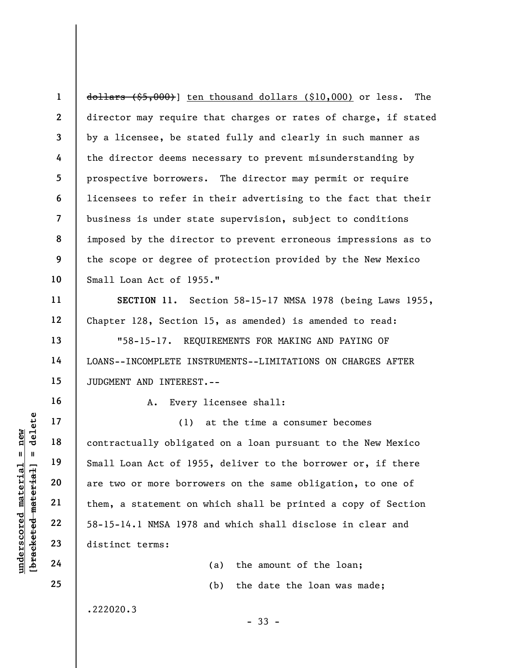1 2 3 4 5 6 7 8 9 10 dollars (\$5,000)] ten thousand dollars (\$10,000) or less. The director may require that charges or rates of charge, if stated by a licensee, be stated fully and clearly in such manner as the director deems necessary to prevent misunderstanding by prospective borrowers. The director may permit or require licensees to refer in their advertising to the fact that their business is under state supervision, subject to conditions imposed by the director to prevent erroneous impressions as to the scope or degree of protection provided by the New Mexico Small Loan Act of 1955."

SECTION 11. Section 58-15-17 NMSA 1978 (being Laws 1955, Chapter 128, Section 15, as amended) is amended to read:

"58-15-17. REQUIREMENTS FOR MAKING AND PAYING OF LOANS--INCOMPLETE INSTRUMENTS--LIMITATIONS ON CHARGES AFTER JUDGMENT AND INTEREST.--

A. Every licensee shall:

underscore of 195<br>
understanding material material material of 195<br>
understanding of the material material material material material material material material material material material material material material materia (1) at the time a consumer becomes contractually obligated on a loan pursuant to the New Mexico Small Loan Act of 1955, deliver to the borrower or, if there are two or more borrowers on the same obligation, to one of them, a statement on which shall be printed a copy of Section 58-15-14.1 NMSA 1978 and which shall disclose in clear and distinct terms:

- 33 -

(a) the amount of the loan; (b) the date the loan was made;

.222020.3

11

12

13

14

15

16

17

18

19

20

21

22

23

24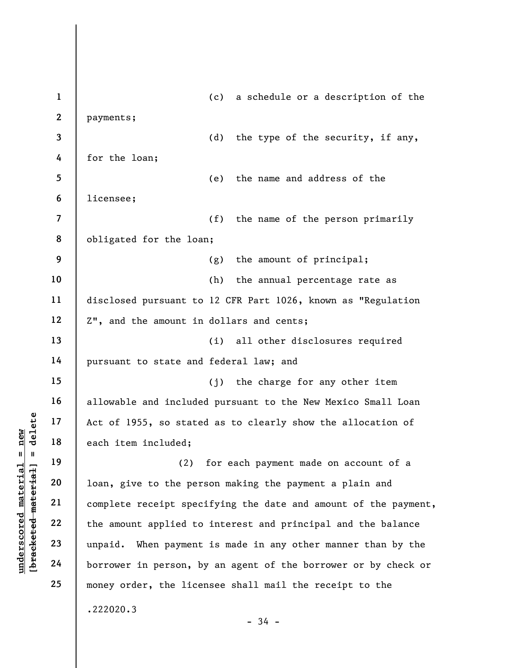understand material and the mount applied to the percept spectrum of the amount applied to the percept spectrum of the amount applied to the percept spectrum of the amount applied to the percept spectrum of the amount appl 1 2 3 4 5 6 7 8 9 10 11 12 13 14 15 16 17 18 19 20 21 22 23 24 25 (c) a schedule or a description of the payments; (d) the type of the security, if any, for the loan; (e) the name and address of the licensee; (f) the name of the person primarily obligated for the loan; (g) the amount of principal; (h) the annual percentage rate as disclosed pursuant to 12 CFR Part 1026, known as "Regulation Z", and the amount in dollars and cents; (i) all other disclosures required pursuant to state and federal law; and (j) the charge for any other item allowable and included pursuant to the New Mexico Small Loan Act of 1955, so stated as to clearly show the allocation of each item included; (2) for each payment made on account of a loan, give to the person making the payment a plain and complete receipt specifying the date and amount of the payment, the amount applied to interest and principal and the balance unpaid. When payment is made in any other manner than by the borrower in person, by an agent of the borrower or by check or money order, the licensee shall mail the receipt to the .222020.3  $-34 -$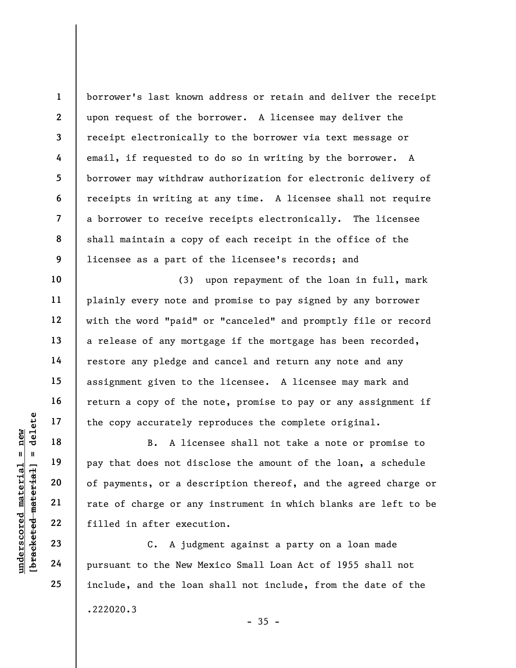1 2 3 4 5 6 7 8 9 borrower's last known address or retain and deliver the receipt upon request of the borrower. A licensee may deliver the receipt electronically to the borrower via text message or email, if requested to do so in writing by the borrower. A borrower may withdraw authorization for electronic delivery of receipts in writing at any time. A licensee shall not require a borrower to receive receipts electronically. The licensee shall maintain a copy of each receipt in the office of the licensee as a part of the licensee's records; and

(3) upon repayment of the loan in full, mark plainly every note and promise to pay signed by any borrower with the word "paid" or "canceled" and promptly file or record a release of any mortgage if the mortgage has been recorded, restore any pledge and cancel and return any note and any assignment given to the licensee. A licensee may mark and return a copy of the note, promise to pay or any assignment if the copy accurately reproduces the complete original.

underscored material = new [bracketed material] = delete B. A licensee shall not take a note or promise to pay that does not disclose the amount of the loan, a schedule of payments, or a description thereof, and the agreed charge or rate of charge or any instrument in which blanks are left to be filled in after execution.

C. A judgment against a party on a loan made pursuant to the New Mexico Small Loan Act of 1955 shall not include, and the loan shall not include, from the date of the .222020.3  $-35 -$ 

10

11

12

13

14

15

16

17

18

19

20

21

22

23

24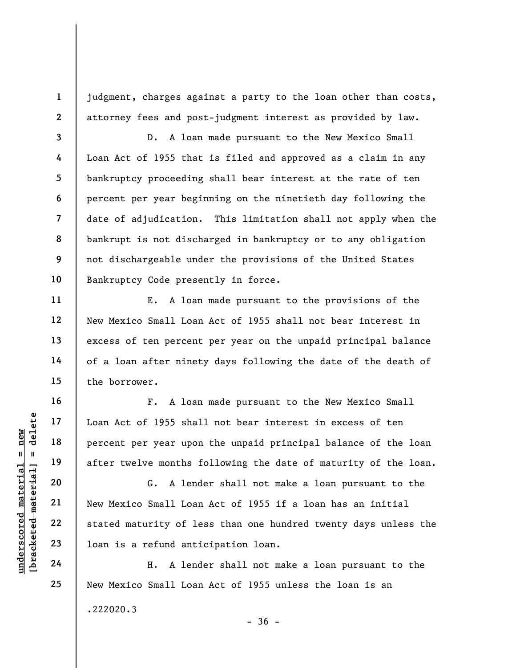judgment, charges against a party to the loan other than costs, attorney fees and post-judgment interest as provided by law.

8 D. A loan made pursuant to the New Mexico Small Loan Act of 1955 that is filed and approved as a claim in any bankruptcy proceeding shall bear interest at the rate of ten percent per year beginning on the ninetieth day following the date of adjudication. This limitation shall not apply when the bankrupt is not discharged in bankruptcy or to any obligation not dischargeable under the provisions of the United States Bankruptcy Code presently in force.

E. A loan made pursuant to the provisions of the New Mexico Small Loan Act of 1955 shall not bear interest in excess of ten percent per year on the unpaid principal balance of a loan after ninety days following the date of the death of the borrower.

F. A loan made pursuant to the New Mexico Small Loan Act of 1955 shall not bear interest in excess of ten percent per year upon the unpaid principal balance of the loan after twelve months following the date of maturity of the loan.

underscored material speech of 1955 shalp and the sole of 1955 shalp are the months for the sole of the sole of the sole of the sole of the sole of the sole of the sole of the sole of the sole of the sole of the sole of th G. A lender shall not make a loan pursuant to the New Mexico Small Loan Act of 1955 if a loan has an initial stated maturity of less than one hundred twenty days unless the loan is a refund anticipation loan.

H. A lender shall not make a loan pursuant to the New Mexico Small Loan Act of 1955 unless the loan is an .222020.3

1

2

3

4

5

6

7

9

10

11

12

13

14

15

16

17

18

19

20

21

22

23

24

25

 $-36 -$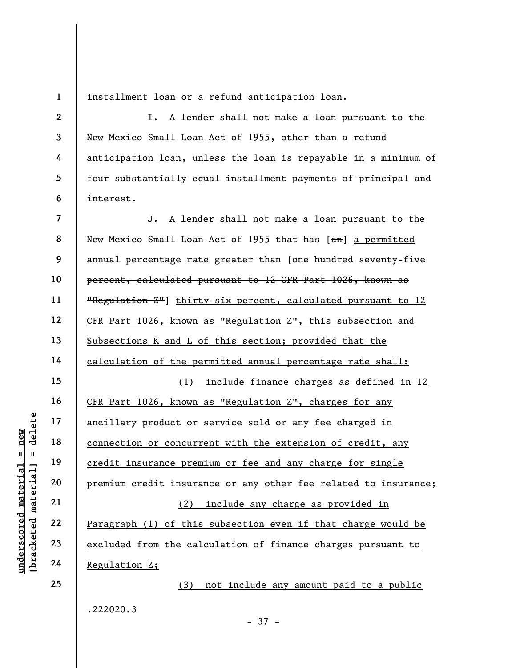1

6

installment loan or a refund anticipation loan.

2 3 4 5 I. A lender shall not make a loan pursuant to the New Mexico Small Loan Act of 1955, other than a refund anticipation loan, unless the loan is repayable in a minimum of four substantially equal installment payments of principal and interest.

underscored material = new [bracketed material] = delete 7 8 9 10 11 12 13 14 15 16 17 18 19 20 21 22 23 24 25 J. A lender shall not make a loan pursuant to the New Mexico Small Loan Act of 1955 that has [an] a permitted annual percentage rate greater than [one hundred seventy-five percent, calculated pursuant to 12 CFR Part 1026, known as "Regulation Z"] thirty-six percent, calculated pursuant to 12 CFR Part 1026, known as "Regulation Z", this subsection and Subsections K and L of this section; provided that the calculation of the permitted annual percentage rate shall: (1) include finance charges as defined in 12 CFR Part 1026, known as "Regulation Z", charges for any ancillary product or service sold or any fee charged in connection or concurrent with the extension of credit, any credit insurance premium or fee and any charge for single premium credit insurance or any other fee related to insurance; (2) include any charge as provided in Paragraph (1) of this subsection even if that charge would be excluded from the calculation of finance charges pursuant to Regulation Z; (3) not include any amount paid to a public

.222020.3

- 37 -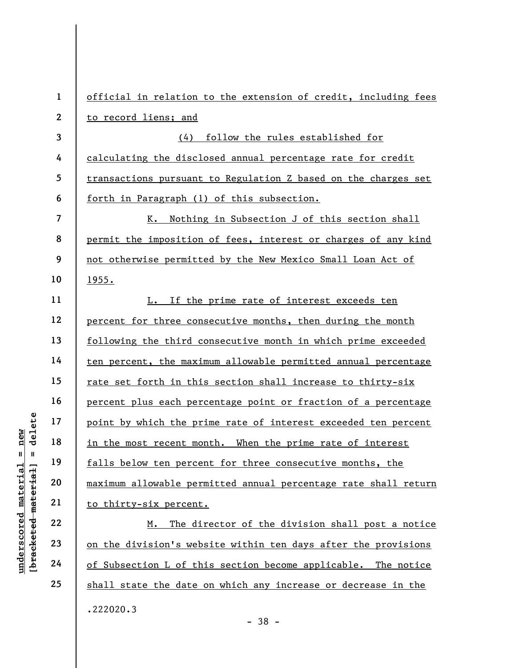under 17<br>
under 18<br>
in the most recent most<br>
in the most recent most<br>
in the most recent most<br>
falls below ten percent<br>
20<br>
<u>maximum allowable per</u><br>
21<br>
<u>to thirty-six percent</u><br>
22<br>
<u>to thirty-six percent</u><br>
<u>M. The divisio</u> 1 2 3 4 5 6 7 8 9 10 11 12 13 14 15 16 17 18 19 20 21 22 23 24 official in relation to the extension of credit, including fees to record liens; and (4) follow the rules established for calculating the disclosed annual percentage rate for credit transactions pursuant to Regulation Z based on the charges set forth in Paragraph (1) of this subsection. K. Nothing in Subsection J of this section shall permit the imposition of fees, interest or charges of any kind not otherwise permitted by the New Mexico Small Loan Act of 1955. L. If the prime rate of interest exceeds ten percent for three consecutive months, then during the month following the third consecutive month in which prime exceeded ten percent, the maximum allowable permitted annual percentage rate set forth in this section shall increase to thirty-six percent plus each percentage point or fraction of a percentage point by which the prime rate of interest exceeded ten percent in the most recent month. When the prime rate of interest falls below ten percent for three consecutive months, the maximum allowable permitted annual percentage rate shall return to thirty-six percent. M. The director of the division shall post a notice on the division's website within ten days after the provisions of Subsection L of this section become applicable. The notice shall state the date on which any increase or decrease in the .222020.3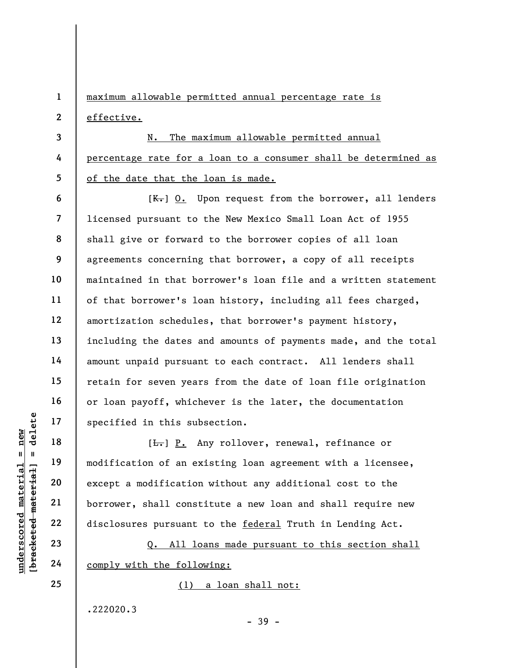1 2 maximum allowable permitted annual percentage rate is effective.

3 4 5 N. The maximum allowable permitted annual percentage rate for a loan to a consumer shall be determined as of the date that the loan is made.

 $[K_r]$  0. Upon request from the borrower, all lenders licensed pursuant to the New Mexico Small Loan Act of 1955 shall give or forward to the borrower copies of all loan agreements concerning that borrower, a copy of all receipts maintained in that borrower's loan file and a written statement of that borrower's loan history, including all fees charged, amortization schedules, that borrower's payment history, including the dates and amounts of payments made, and the total amount unpaid pursuant to each contract. All lenders shall retain for seven years from the date of loan file origination or loan payoff, whichever is the later, the documentation specified in this subsection.

understand material in this subsectied in this subsectied in this subsection<br>  $\begin{array}{c|c|c|c} \hline \text{u} & \text{u} & \text{u} & \text{u} \\ \hline \text{u} & \text{u} & \text{u} & \text{u} \\ \hline \text{u} & \text{u} & \text{u} & \text{u} \\ \hline \text{u} & \text{u} & \text{u} & \text{u} \\ \hline \text{u} & \text{u} & \text{u} & \$ [<del>L.</del>] P. Any rollover, renewal, refinance or modification of an existing loan agreement with a licensee, except a modification without any additional cost to the borrower, shall constitute a new loan and shall require new disclosures pursuant to the federal Truth in Lending Act.

Q. All loans made pursuant to this section shall comply with the following:

(1) a loan shall not:

.222020.3

- 39 -

6

7

8

9

10

11

12

13

14

15

16

17

18

19

20

21

22

23

24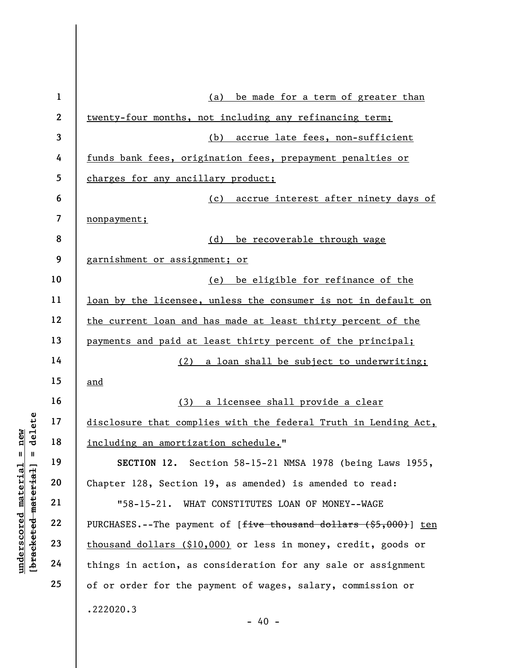|                                                | $\mathbf{1}$   | be made for a term of greater than<br>(a)                                     |
|------------------------------------------------|----------------|-------------------------------------------------------------------------------|
|                                                | $\mathbf{2}$   | twenty-four months, not including any refinancing term;                       |
|                                                | 3              | accrue late fees, non-sufficient<br>(b)                                       |
|                                                | 4              | funds bank fees, origination fees, prepayment penalties or                    |
|                                                | 5              | charges for any ancillary product;                                            |
|                                                | 6              | (c) accrue interest after ninety days of                                      |
|                                                | $\overline{7}$ | nonpayment;                                                                   |
|                                                | 8              | (d)<br>be recoverable through wage                                            |
|                                                | 9              | garnishment or assignment; or                                                 |
|                                                | 10             | be eligible for refinance of the<br>(e)                                       |
|                                                | 11             | loan by the licensee, unless the consumer is not in default on                |
|                                                | 12             | the current loan and has made at least thirty percent of the                  |
|                                                | 13             | payments and paid at least thirty percent of the principal;                   |
|                                                | 14             | (2)<br>a loan shall be subject to underwriting;                               |
|                                                | 15             | and                                                                           |
|                                                | 16             | (3)<br>a licensee shall provide a clear                                       |
| delete                                         | 17             | disclosure that complies with the federal Truth in Lending Act,               |
| new<br>$\mathbf{II}$<br>- II                   | 18             | including an amortization schedule."                                          |
|                                                | 19             | SECTION 12. Section 58-15-21 NMSA 1978 (being Laws 1955,                      |
| $\mathtt{material}$                            | 20             | Chapter 128, Section 19, as amended) is amended to read:                      |
|                                                | 21             | $"58-15-21.$<br>WHAT CONSTITUTES LOAN OF MONEY--WAGE                          |
| [bracketed material<br>$\bm{{\rm underscore}}$ | 22             | PURCHASES.--The payment of [ <del>five thousand dollars (\$5,000)</del> ] ten |
|                                                | 23             | thousand dollars (\$10,000) or less in money, credit, goods or                |
|                                                | 24             | things in action, as consideration for any sale or assignment                 |
|                                                | 25             | of or order for the payment of wages, salary, commission or                   |
|                                                |                | .222020.3<br>$-40 -$                                                          |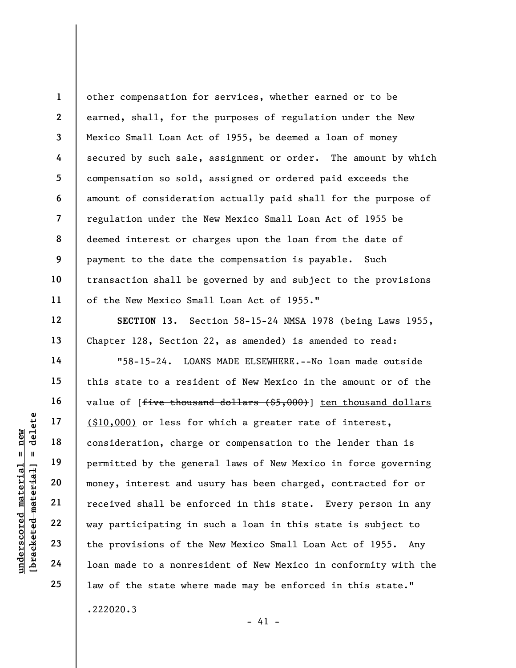1 2 3 4 5 6 7 8 9 10 11 other compensation for services, whether earned or to be earned, shall, for the purposes of regulation under the New Mexico Small Loan Act of 1955, be deemed a loan of money secured by such sale, assignment or order. The amount by which compensation so sold, assigned or ordered paid exceeds the amount of consideration actually paid shall for the purpose of regulation under the New Mexico Small Loan Act of 1955 be deemed interest or charges upon the loan from the date of payment to the date the compensation is payable. Such transaction shall be governed by and subject to the provisions of the New Mexico Small Loan Act of 1955."

SECTION 13. Section 58-15-24 NMSA 1978 (being Laws 1955, Chapter 128, Section 22, as amended) is amended to read:

understand understand material material end of the sense of the sense money, interest and understand the sense money, interest and understand the sense money, interest and understand the sense of the sense of the provision "58-15-24. LOANS MADE ELSEWHERE.--No loan made outside this state to a resident of New Mexico in the amount or of the value of  $[$ <del>five thousand dollars  $($ \$5,000)</del> $]$  ten thousand dollars (\$10,000) or less for which a greater rate of interest, consideration, charge or compensation to the lender than is permitted by the general laws of New Mexico in force governing money, interest and usury has been charged, contracted for or received shall be enforced in this state. Every person in any way participating in such a loan in this state is subject to the provisions of the New Mexico Small Loan Act of 1955. Any loan made to a nonresident of New Mexico in conformity with the law of the state where made may be enforced in this state." .222020.3

12

13

14

15

16

17

18

19

20

21

22

23

24

25

 $- 41 -$